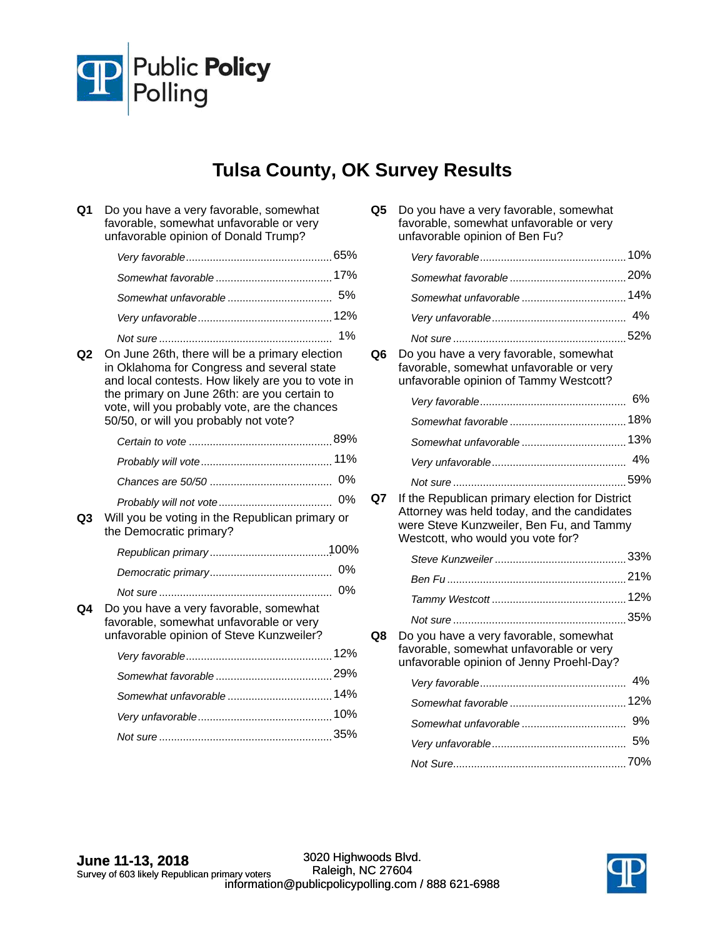

## **Tulsa County, OK Survey Results**

| Q1             | Do you have a very favorable, somewhat<br>favorable, somewhat unfavorable or very<br>unfavorable opinion of Donald Trump?                                                                                                                                                                   |    |
|----------------|---------------------------------------------------------------------------------------------------------------------------------------------------------------------------------------------------------------------------------------------------------------------------------------------|----|
|                |                                                                                                                                                                                                                                                                                             |    |
|                |                                                                                                                                                                                                                                                                                             |    |
|                |                                                                                                                                                                                                                                                                                             |    |
|                |                                                                                                                                                                                                                                                                                             |    |
|                |                                                                                                                                                                                                                                                                                             | 1% |
| Q <sub>2</sub> | On June 26th, there will be a primary election<br>in Oklahoma for Congress and several state<br>and local contests. How likely are you to vote in<br>the primary on June 26th: are you certain to<br>vote, will you probably vote, are the chances<br>50/50, or will you probably not vote? |    |
|                |                                                                                                                                                                                                                                                                                             |    |
|                |                                                                                                                                                                                                                                                                                             |    |
|                |                                                                                                                                                                                                                                                                                             |    |
|                |                                                                                                                                                                                                                                                                                             |    |
| Q3             | Will you be voting in the Republican primary or<br>the Democratic primary?                                                                                                                                                                                                                  |    |
|                |                                                                                                                                                                                                                                                                                             |    |
|                |                                                                                                                                                                                                                                                                                             | 0% |
|                |                                                                                                                                                                                                                                                                                             | 0% |
| Q4             | Do you have a very favorable, somewhat<br>favorable, somewhat unfavorable or very<br>unfavorable opinion of Steve Kunzweiler?                                                                                                                                                               |    |
|                |                                                                                                                                                                                                                                                                                             |    |
|                |                                                                                                                                                                                                                                                                                             |    |
|                |                                                                                                                                                                                                                                                                                             |    |

*Very unfavorable* 10% ............................................. *Not sure* 35% ..........................................................

| Q5 Do you have a very favorable, somewhat<br>favorable, somewhat unfavorable or very<br>unfavorable opinion of Ben Fu? |     |
|------------------------------------------------------------------------------------------------------------------------|-----|
|                                                                                                                        | 10% |

|    |                                                                                                                             | 4% |
|----|-----------------------------------------------------------------------------------------------------------------------------|----|
|    |                                                                                                                             |    |
| Q6 | Do you have a very favorable, somewhat<br>favorable, somewhat unfavorable or very<br>unfavorable opinion of Tammy Westcott? |    |
|    |                                                                                                                             | 6% |
|    |                                                                                                                             |    |
|    |                                                                                                                             |    |
|    |                                                                                                                             | 4% |
|    |                                                                                                                             |    |
|    |                                                                                                                             |    |

**Q7** If the Republican primary election for District Attorney was held today, and the candidates were Steve Kunzweiler, Ben Fu, and Tammy Westcott, who would you vote for?

| Q8 | Do you have a very favorable, somewhat<br>favorable, somewhat unfavorable or very<br>unfavorable opinion of Jenny Proehl-Day? |    |
|----|-------------------------------------------------------------------------------------------------------------------------------|----|
|    |                                                                                                                               | 4% |
|    |                                                                                                                               |    |
|    |                                                                                                                               | 9% |
|    |                                                                                                                               | 5% |
|    |                                                                                                                               |    |
|    |                                                                                                                               |    |

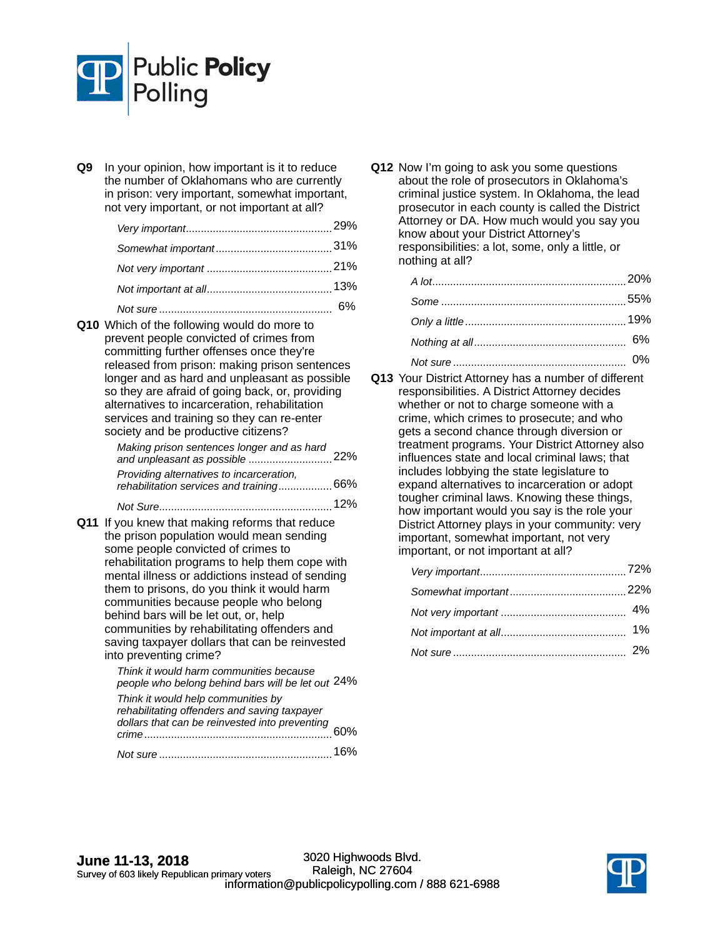

**Q9** In your opinion, how important is it to reduce the number of Oklahomans who are currently in prison: very important, somewhat important, not very important, or not important at all?

**Q10** Which of the following would do more to prevent people convicted of crimes from committing further offenses once they're released from prison: making prison sentences longer and as hard and unpleasant as possible so they are afraid of going back, or, providing alternatives to incarceration, rehabilitation services and training so they can re-enter society and be productive citizens? 22% *Making prison sentences longer and as hard and unpleasant as possible* ............................

| Providing alternatives to incarceration,<br>rehabilitation services and training 66% |        |
|--------------------------------------------------------------------------------------|--------|
|                                                                                      | $12\%$ |

**Q11** If you knew that making reforms that reduce the prison population would mean sending some people convicted of crimes to rehabilitation programs to help them cope with mental illness or addictions instead of sending them to prisons, do you think it would harm communities because people who belong behind bars will be let out, or, help communities by rehabilitating offenders and saving taxpayer dollars that can be reinvested into preventing crime?

> 24% *people who belong behind bars will be let out Think it would harm communities because*  60% *dollars that can be reinvested into preventing Think it would help communities by rehabilitating offenders and saving taxpayer crime*............................................................... *Not sure* 16% ..........................................................

**Q12** Now I'm going to ask you some questions about the role of prosecutors in Oklahoma's criminal justice system. In Oklahoma, the lead prosecutor in each county is called the District Attorney or DA. How much would you say you know about your District Attorney's responsibilities: a lot, some, only a little, or nothing at all?

**Q13** Your District Attorney has a number of different responsibilities. A District Attorney decides whether or not to charge someone with a crime, which crimes to prosecute; and who gets a second chance through diversion or treatment programs. Your District Attorney also influences state and local criminal laws; that includes lobbying the state legislature to expand alternatives to incarceration or adopt tougher criminal laws. Knowing these things, how important would you say is the role your District Attorney plays in your community: very important, somewhat important, not very important, or not important at all?

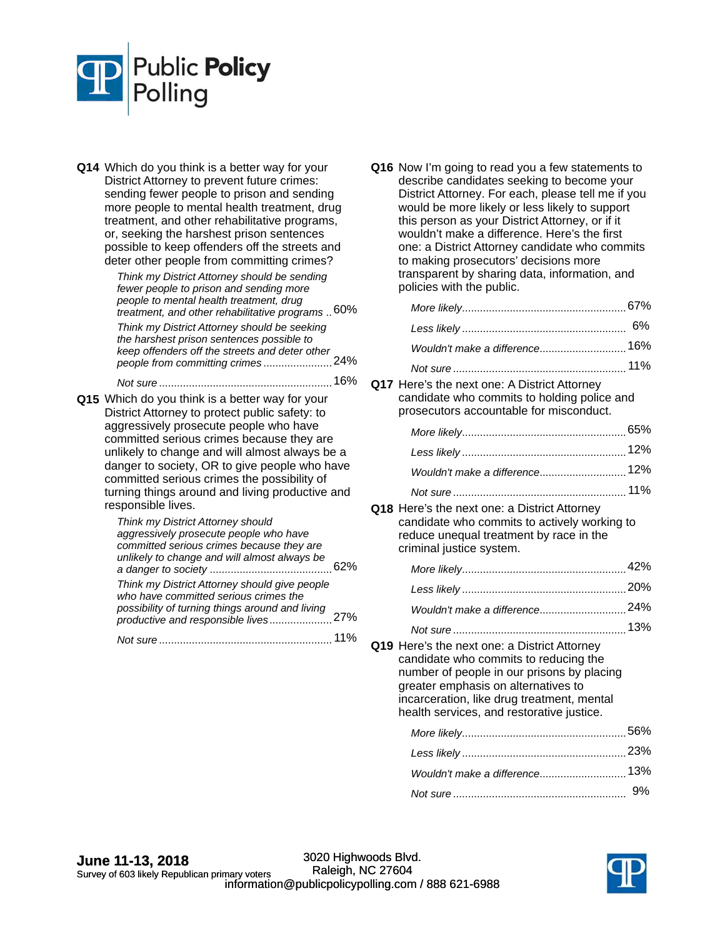

**Q14** Which do you think is a better way for your District Attorney to prevent future crimes: sending fewer people to prison and sending more people to mental health treatment, drug treatment, and other rehabilitative programs, or, seeking the harshest prison sentences possible to keep offenders off the streets and deter other people from committing crimes?

> 60% *treatment, and other rehabilitative programs* .. *Think my District Attorney should be sending fewer people to prison and sending more people to mental health treatment, drug*  keep offenders off the streets and deter other<br>people from committing crimes........................24% *Think my District Attorney should be seeking the harshest prison sentences possible to people from committing crimes* .......................

*Not sure* 16% ..........................................................

**Q15** Which do you think is a better way for your District Attorney to protect public safety: to aggressively prosecute people who have committed serious crimes because they are unlikely to change and will almost always be a danger to society, OR to give people who have committed serious crimes the possibility of turning things around and living productive and responsible lives.

| Think my District Attorney should                                                      |  |
|----------------------------------------------------------------------------------------|--|
| aggressively prosecute people who have                                                 |  |
| committed serious crimes because they are                                              |  |
| unlikely to change and will almost always be                                           |  |
|                                                                                        |  |
| Think my District Attorney should give people<br>who have committed serious crimes the |  |
| possibility of turning things around and living                                        |  |
|                                                                                        |  |
| <i>lot sure</i>                                                                        |  |

**Q16** Now I'm going to read you a few statements to describe candidates seeking to become your District Attorney. For each, please tell me if you would be more likely or less likely to support this person as your District Attorney, or if it wouldn't make a difference. Here's the first one: a District Attorney candidate who commits to making prosecutors' decisions more transparent by sharing data, information, and policies with the public.

|                                                                                                                                        | 6%  |
|----------------------------------------------------------------------------------------------------------------------------------------|-----|
| Wouldn't make a difference 16%                                                                                                         |     |
|                                                                                                                                        |     |
| Q17 Here's the next one: A District Attorney<br>candidate who commits to holding police and<br>prosecutors accountable for misconduct. |     |
|                                                                                                                                        |     |
|                                                                                                                                        |     |
| Wouldn't make a difference 12%                                                                                                         |     |
|                                                                                                                                        | 11% |
|                                                                                                                                        |     |

**Q18** Here's the next one: a District Attorney candidate who commits to actively working to reduce unequal treatment by race in the criminal justice system.

| 42% |
|-----|
|     |
|     |
|     |

**Q19** Here's the next one: a District Attorney candidate who commits to reducing the number of people in our prisons by placing greater emphasis on alternatives to incarceration, like drug treatment, mental health services, and restorative justice.

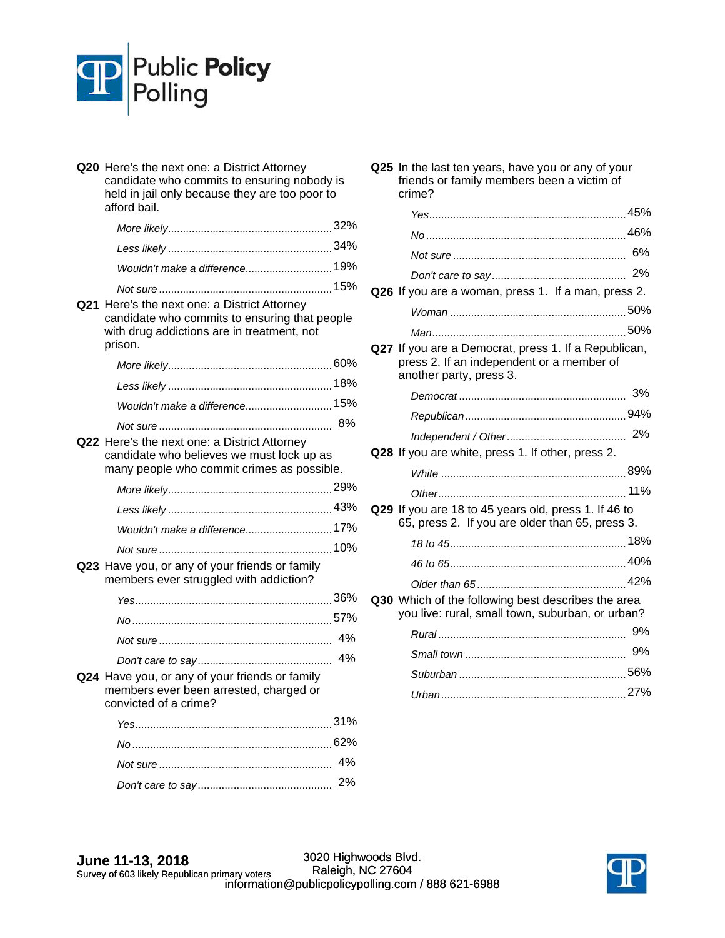

| Q20 Here's the next one: a District Attorney<br>candidate who commits to ensuring nobody is<br>held in jail only because they are too poor to<br>afford bail. |     |
|---------------------------------------------------------------------------------------------------------------------------------------------------------------|-----|
|                                                                                                                                                               |     |
|                                                                                                                                                               |     |
| Wouldn't make a difference 19%                                                                                                                                |     |
|                                                                                                                                                               |     |
| Q21 Here's the next one: a District Attorney<br>candidate who commits to ensuring that people<br>with drug addictions are in treatment, not<br>prison.        |     |
|                                                                                                                                                               |     |
|                                                                                                                                                               |     |
| Wouldn't make a difference 15%                                                                                                                                |     |
|                                                                                                                                                               |     |
| Q22 Here's the next one: a District Attorney<br>candidate who believes we must lock up as<br>many people who commit crimes as possible.                       |     |
|                                                                                                                                                               |     |
|                                                                                                                                                               |     |
| Wouldn't make a difference 17%                                                                                                                                |     |
|                                                                                                                                                               |     |
| Q23 Have you, or any of your friends or family<br>members ever struggled with addiction?                                                                      |     |
|                                                                                                                                                               |     |
|                                                                                                                                                               |     |
|                                                                                                                                                               | 4%  |
|                                                                                                                                                               | 4%  |
| Q24 Have you, or any of your friends or family<br>nembers ever been arrested, charged or<br>convicted of a crime?                                             |     |
|                                                                                                                                                               | 31% |
|                                                                                                                                                               |     |
|                                                                                                                                                               | 4%  |
|                                                                                                                                                               | 2%  |

**Q25** In the last ten years, have you or any of your friends or family members been a victim of crime?

|                                                                                                                              | 6% |
|------------------------------------------------------------------------------------------------------------------------------|----|
|                                                                                                                              | 2% |
| Q26 If you are a woman, press 1. If a man, press 2.                                                                          |    |
|                                                                                                                              |    |
|                                                                                                                              |    |
| Q27 If you are a Democrat, press 1. If a Republican,<br>press 2. If an independent or a member of<br>another party, press 3. |    |
|                                                                                                                              | 3% |
|                                                                                                                              |    |
|                                                                                                                              |    |
| Q28 If you are white, press 1. If other, press 2.                                                                            |    |
|                                                                                                                              |    |
|                                                                                                                              |    |
| Q29 If you are 18 to 45 years old, press 1. If 46 to<br>65, press 2. If you are older than 65, press 3.                      |    |
|                                                                                                                              |    |
|                                                                                                                              |    |
|                                                                                                                              |    |
| Q30 Which of the following best describes the area<br>you live: rural, small town, suburban, or urban?                       |    |
|                                                                                                                              | 9% |
|                                                                                                                              | 9% |
|                                                                                                                              |    |
|                                                                                                                              |    |
|                                                                                                                              |    |

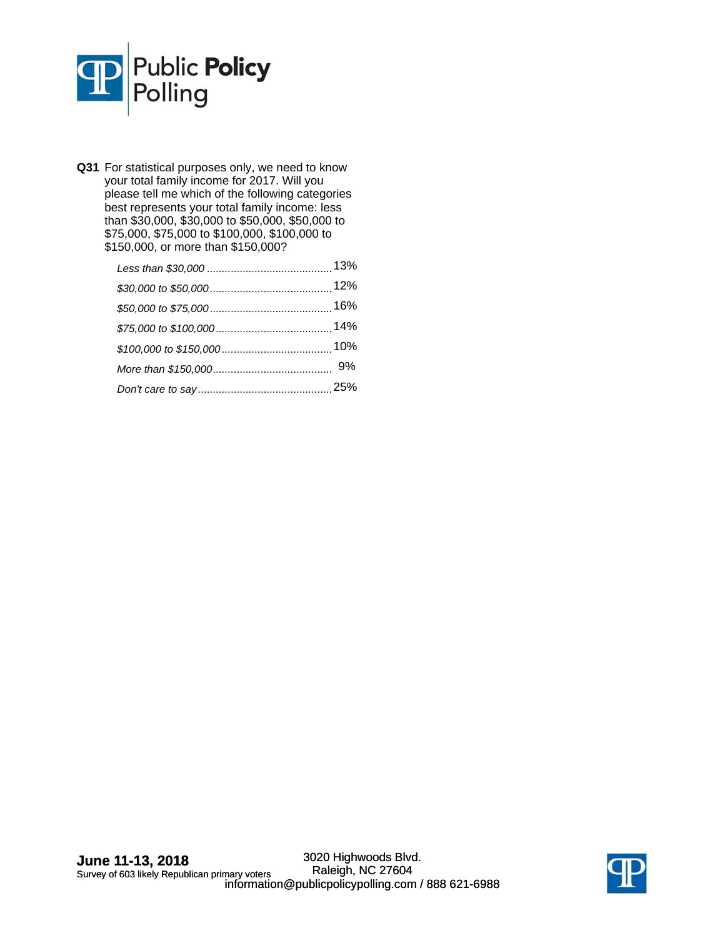

| Q31 For statistical purposes only, we need to know<br>your total family income for 2017. Will you<br>please tell me which of the following categories<br>best represents your total family income: less<br>than \$30,000, \$30,000 to \$50,000, \$50,000 to<br>\$75,000, \$75,000 to \$100,000, \$100,000 to<br>\$150,000, or more than \$150,000? |  |
|----------------------------------------------------------------------------------------------------------------------------------------------------------------------------------------------------------------------------------------------------------------------------------------------------------------------------------------------------|--|
| 13%                                                                                                                                                                                                                                                                                                                                                |  |
|                                                                                                                                                                                                                                                                                                                                                    |  |
|                                                                                                                                                                                                                                                                                                                                                    |  |
|                                                                                                                                                                                                                                                                                                                                                    |  |
| 10%                                                                                                                                                                                                                                                                                                                                                |  |
| 9%                                                                                                                                                                                                                                                                                                                                                 |  |
|                                                                                                                                                                                                                                                                                                                                                    |  |

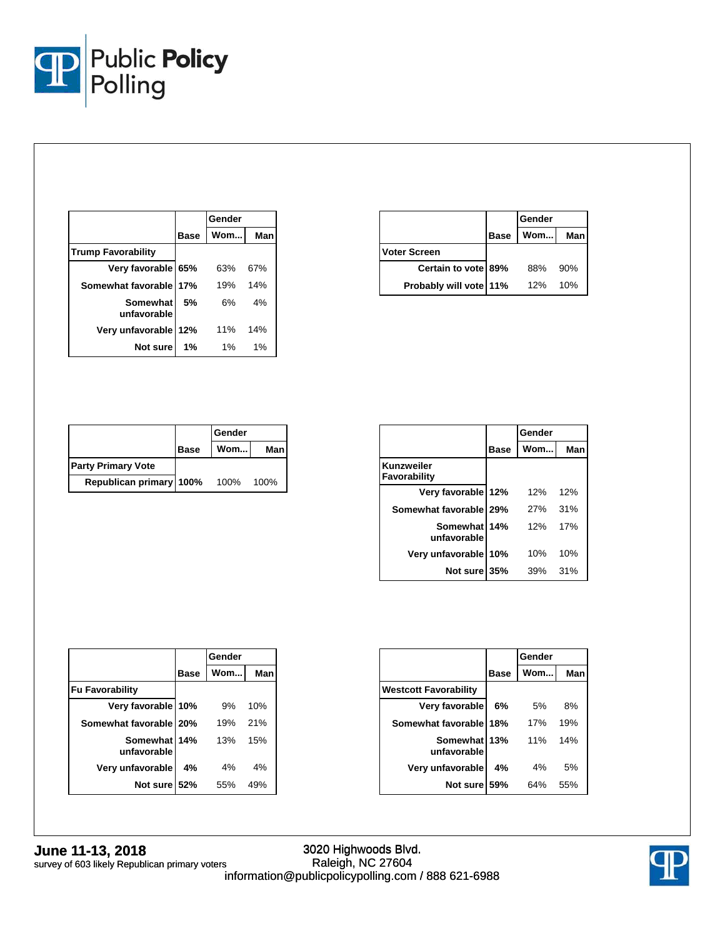

|                           |             | Gender |     |
|---------------------------|-------------|--------|-----|
|                           | <b>Base</b> | Wom    | Man |
| <b>Trump Favorability</b> |             |        |     |
| Very favorable 65%        |             | 63%    | 67% |
| Somewhat favorable 17%    |             | 19%    | 14% |
| Somewhat<br>unfavorable   | 5%          | 6%     | 4%  |
| Very unfavorable 12%      |             | 11%    | 14% |
| Not sure                  | 1%          | 1%     | 1%  |

|                        |             | Gender |     |
|------------------------|-------------|--------|-----|
|                        | <b>Base</b> | Wom    | Man |
| Voter Screen           |             |        |     |
| Certain to vote 89%    |             | 88%    | 90% |
| Probably will vote 11% |             | 12%    | 10% |

|                           |             | Gender |       |
|---------------------------|-------------|--------|-------|
|                           | <b>Base</b> | Wom    | Man I |
| <b>Party Primary Vote</b> |             |        |       |
| Republican primary 100%   |             | 100%   | 100%  |

|                             |             | Gender |     |
|-----------------------------|-------------|--------|-----|
|                             | <b>Base</b> | Wom    | Man |
| Kunzweiler<br>Favorability  |             |        |     |
| Very favorable 12%          |             | 12%    | 12% |
| Somewhat favorable 29%      |             | 27%    | 31% |
| Somewhat 14%<br>unfavorable |             | 12%    | 17% |
| Very unfavorable 10%        |             | 10%    | 10% |
| Not sure 35%                |             | 39%    | 31% |

|                             |             | Gender |     |
|-----------------------------|-------------|--------|-----|
|                             | <b>Base</b> | Wom    | Man |
| <b>Fu Favorability</b>      |             |        |     |
| Very favorable 10%          |             | 9%     | 10% |
| Somewhat favorable   20%    |             | 19%    | 21% |
| Somewhat 14%<br>unfavorable |             | 13%    | 15% |
| Very unfavorable            | 4%          | 4%     | 4%  |
| Not sure 52%                |             | 55%    | 49% |

|                              |      | Gender |     |
|------------------------------|------|--------|-----|
|                              | Base | Wom    | Man |
| <b>Westcott Favorability</b> |      |        |     |
| Very favorable               | 6%   | 5%     | 8%  |
| Somewhat favorable 18%       |      | 17%    | 19% |
| Somewhat 13%                 |      | 11%    | 14% |
| unfavorable                  |      |        |     |
| Very unfavorable             | 4%   | 4%     | 5%  |
| Not sure                     | .59% | 64%    | 55% |

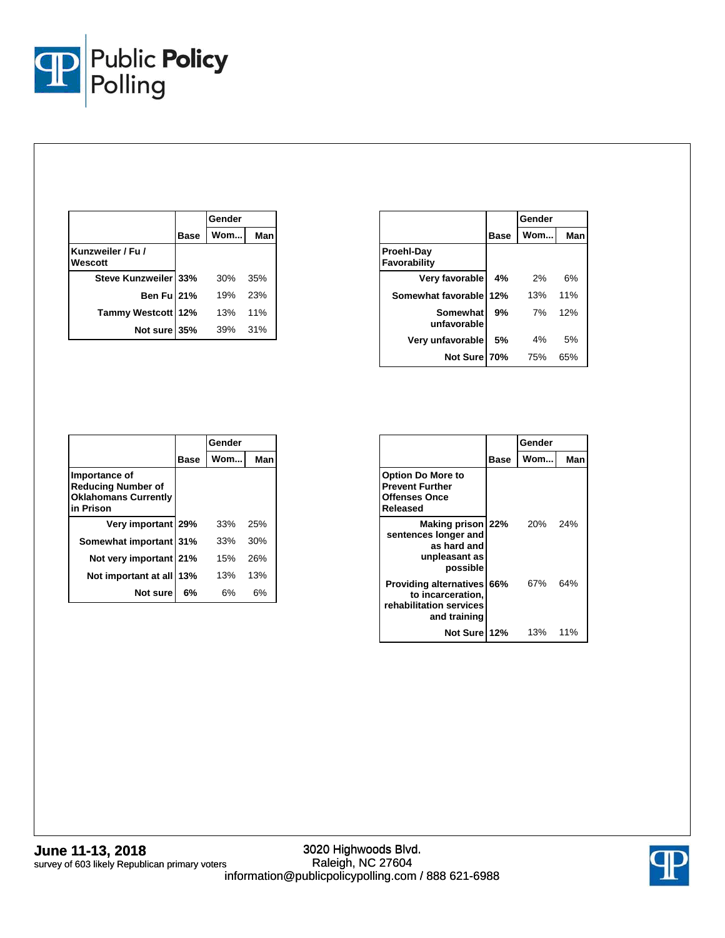

|                              |             | Gender |     |
|------------------------------|-------------|--------|-----|
|                              | <b>Base</b> | Wom    | Man |
| Kunzweiler / Fu /<br>Wescott |             |        |     |
| Steve Kunzweiler 33%         |             | 30%    | 35% |
| Ben Ful 21%                  |             | 19%    | 23% |
| Tammy Westcott 12%           |             | 13%    | 11% |
| Not sure 35%                 |             | 39%    | 31% |

|                            |      | Gender |     |
|----------------------------|------|--------|-----|
|                            | Base | Wom    | Man |
| Proehl-Day<br>Favorability |      |        |     |
| Very favorable             | 4%   | 2%     | 6%  |
| Somewhat favorable 12%     |      | 13%    | 11% |
| Somewhat<br>unfavorable    | 9%   | 7%     | 12% |
| Very unfavorable           | 5%   | 4%     | 5%  |
| Not Sure 70%               |      | 75%    | 65% |

|                                                                                        |             | Gender |     |
|----------------------------------------------------------------------------------------|-------------|--------|-----|
|                                                                                        | <b>Base</b> | Wom    | Man |
| Importance of<br><b>Reducing Number of</b><br><b>Oklahomans Currently</b><br>in Prison |             |        |     |
| Very important 29%                                                                     |             | 33%    | 25% |
| Somewhat important 31%                                                                 |             | 33%    | 30% |
| Not very important 21%                                                                 |             | 15%    | 26% |
| Not important at all                                                                   | 13%         | 13%    | 13% |
| Not sure                                                                               | 6%          | 6%     | 6%  |

|                                                                                                   |      | Gender     |       |
|---------------------------------------------------------------------------------------------------|------|------------|-------|
|                                                                                                   | Base | Wom        | Man   |
| <b>Option Do More to</b><br><b>Prevent Further</b><br><b>Offenses Once</b><br>Released            |      |            |       |
| Making prison 22%<br>sentences longer and<br>as hard and<br>unpleasant as<br>possible             |      | <b>20%</b> | - 24% |
| <b>Providing alternatives 66%</b><br>to incarceration,<br>rehabilitation services<br>and training |      | 67%        | 64%   |
| Not Sure 12%                                                                                      |      | 13%        | 11%   |

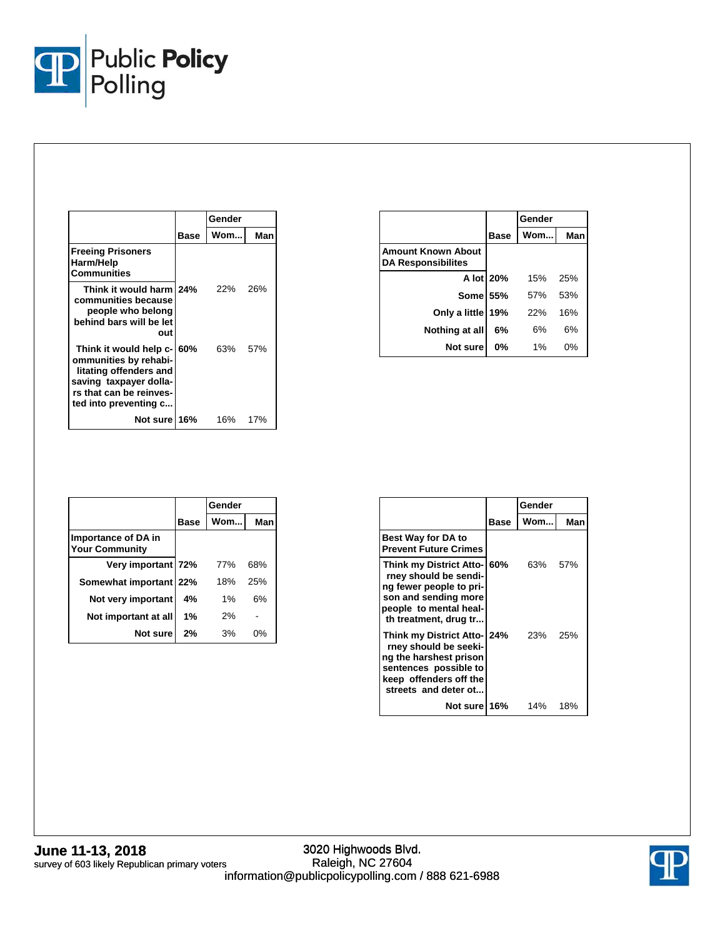

|                                                                                                                                                             |      | Gender |      |
|-------------------------------------------------------------------------------------------------------------------------------------------------------------|------|--------|------|
|                                                                                                                                                             | Base | Wom    | Man  |
| <b>Freeing Prisoners</b><br>Harm/Help<br>Communities                                                                                                        |      |        |      |
| Think it would harm 24%<br>communities because<br>people who belong<br>behind bars will be let<br>out                                                       |      | 22%    | 26%  |
| Think it would help c- 60%<br>ommunities by rehabi-<br>litating offenders and<br>saving taxpayer dolla-<br>rs that can be reinves-<br>ted into preventing c |      | 63%    | .57% |
| Not sure 16%                                                                                                                                                |      | 16%    | 17%  |

|                                                        |             | Gender |     |
|--------------------------------------------------------|-------------|--------|-----|
|                                                        | <b>Base</b> | Wom    | Man |
| <b>Amount Known About</b><br><b>DA Responsibilites</b> |             |        |     |
|                                                        | A lot 20%   | 15%    | 25% |
| <b>Some 55%</b>                                        |             | .57%   | 53% |
| Only a little 19%                                      |             | 22%    | 16% |
| Nothing at all                                         | 6%          | 6%     | 6%  |
| Not sure                                               | 0%          | $1\%$  | 0%  |

|                                                     |             | Gender |     |
|-----------------------------------------------------|-------------|--------|-----|
|                                                     | <b>Base</b> | Wom    | Man |
| <b>Importance of DA in</b><br><b>Your Community</b> |             |        |     |
| Very important 72%                                  |             | 77%    | 68% |
| Somewhat important 22%                              |             | 18%    | 25% |
| Not very important                                  | 4%          | 1%     | 6%  |
| Not important at all                                | 1%          | 2%     |     |
| Not sure                                            | 2%          | 3%     | 0%  |

|                                                                                                                                                            |      | Gender |     |
|------------------------------------------------------------------------------------------------------------------------------------------------------------|------|--------|-----|
|                                                                                                                                                            | Base | Wom…l  | Man |
| <b>Best Way for DA to</b><br><b>Prevent Future Crimes</b>                                                                                                  |      |        |     |
| Think my District Atto- 60%<br>rney should be sendi-<br>ng fewer people to pri-<br>son and sending more<br>people to mental heal-<br>th treatment, drug tr |      | 63%    | 57% |
| Think my District Atto-124%<br>rney should be seeki-<br>ng the harshest prison<br>sentences possible to<br>keep offenders off the<br>streets and deter ot  |      | 23%    | 25% |
| Not sure 16%                                                                                                                                               |      | 14%    | 18% |

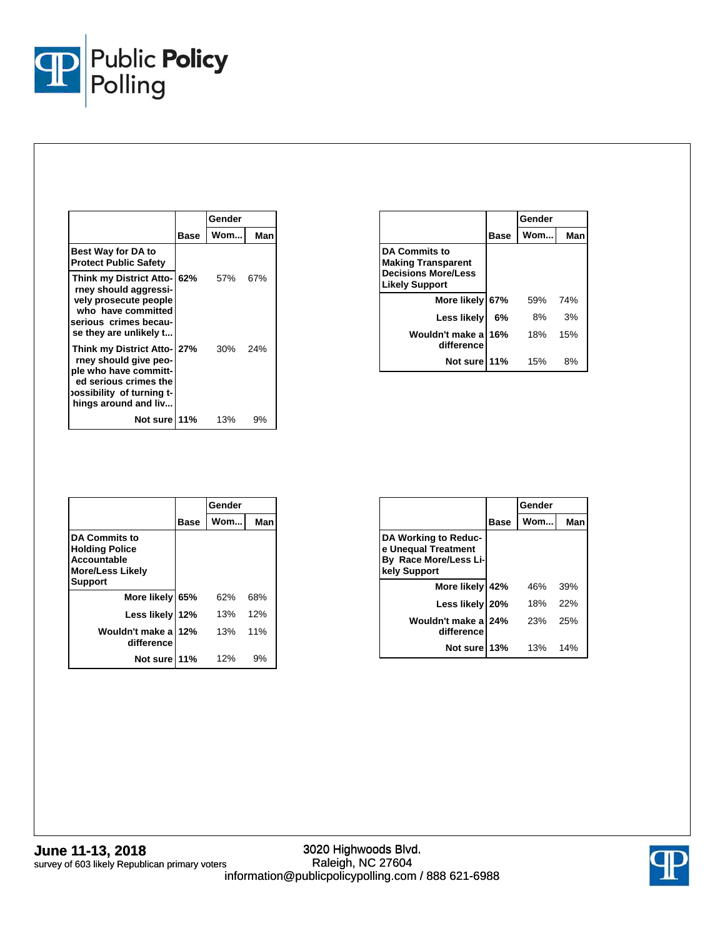

|                                                                                                                                                            |             | Gender  |     |
|------------------------------------------------------------------------------------------------------------------------------------------------------------|-------------|---------|-----|
|                                                                                                                                                            | <b>Base</b> | Wom     | Man |
| <b>Best Way for DA to</b><br><b>Protect Public Safety</b>                                                                                                  |             |         |     |
| Think my District Atto-<br>rney should aggressi-<br>vely prosecute people<br>who have committed<br>serious crimes becau-<br>se they are unlikely t         | 62%         | 57%     | 67% |
| Think my District Atto-127%<br>rney should give peo-<br>ple who have committ-<br>ed serious crimes the<br>ossibility of turning t-<br>hings around and liv |             | 30% 24% |     |
| Not sure 11%                                                                                                                                               |             | 13%     | 9%  |

|                                                                                                   |      | Gender |     |
|---------------------------------------------------------------------------------------------------|------|--------|-----|
|                                                                                                   | Base | Wom    | Man |
| <b>DA Commits to</b><br><b>Making Transparent</b><br><b>Decisions More/Less</b><br>Likely Support |      |        |     |
| More likely                                                                                       | 67%  | 59%    | 74% |
| Less likely                                                                                       | 6%   | 8%     | 3%  |
| Wouldn't make a<br>difference                                                                     | 16%  | 18%    | 15% |
| Not sure                                                                                          | 11%  | 15%    | 8%  |

|                                                                                                                  |      | Gender |     |
|------------------------------------------------------------------------------------------------------------------|------|--------|-----|
|                                                                                                                  | Base | Wom    | Man |
| <b>DA Commits to</b><br><b>Holding Police</b><br><b>Accountable</b><br><b>More/Less Likely</b><br><b>Support</b> |      |        |     |
| More likely 65%                                                                                                  |      | 62%    | 68% |
| Less likely                                                                                                      | 12%  | 13%    | 12% |
| Wouldn't make a<br>difference                                                                                    | 12%  | 13%    | 11% |
| Not sure                                                                                                         | 11%  | 12%    | 9%  |

|                                                                                      |      | Gender |     |
|--------------------------------------------------------------------------------------|------|--------|-----|
|                                                                                      | Base | Wom    | Man |
| DA Working to Reduc-<br>e Unequal Treatment<br>By Race More/Less Li-<br>kely Support |      |        |     |
| More likely 42%                                                                      |      | 46%    | 39% |
| Less likely 20%                                                                      |      | 18%    | 22% |
| Wouldn't make al 24%<br>difference                                                   |      | 23%    | 25% |
| Not sure 13%                                                                         |      | 13%    | 14% |

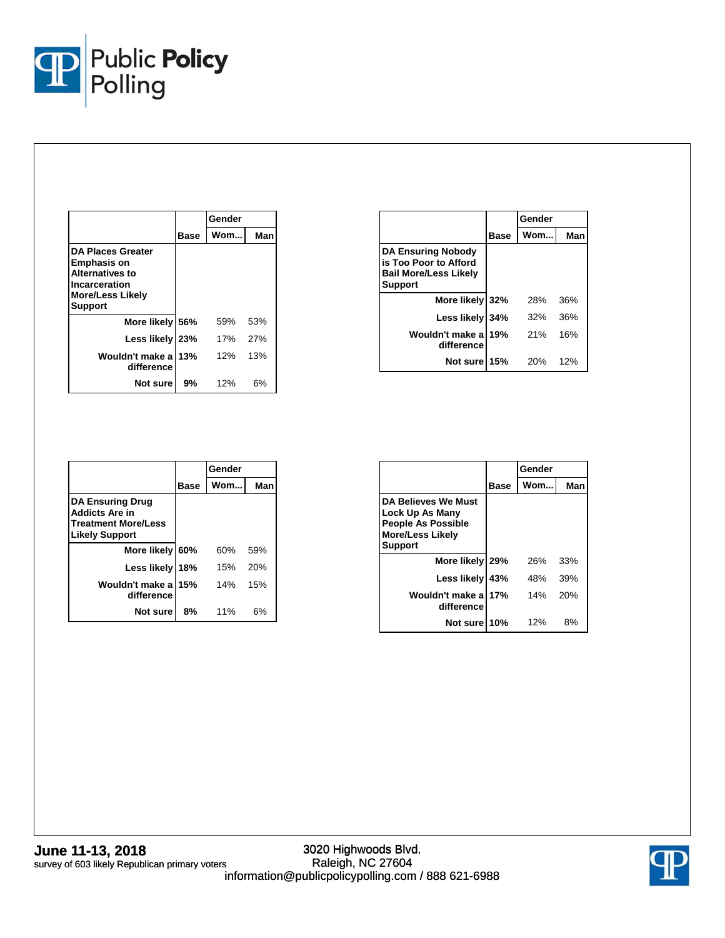

|                                                                                                                                        |      | Gender |     |
|----------------------------------------------------------------------------------------------------------------------------------------|------|--------|-----|
|                                                                                                                                        | Base | Wom    | Man |
| <b>DA Places Greater</b><br><b>Emphasis on</b><br><b>Alternatives to</b><br>Incarceration<br><b>More/Less Likely</b><br><b>Support</b> |      |        |     |
| More likely 56%                                                                                                                        |      | 59%    | 53% |
| Less likely 23%                                                                                                                        |      | 17%    | 27% |
| Wouldn't make al<br>difference                                                                                                         | 13%  | 12%    | 13% |
| Not sure                                                                                                                               | 9%   | 12%    | 6%  |

|                                                                                                      |      | Gender |     |
|------------------------------------------------------------------------------------------------------|------|--------|-----|
|                                                                                                      | Base | Wom    | Man |
| <b>DA Ensuring Nobody</b><br>is Too Poor to Afford<br><b>Bail More/Less Likely</b><br><b>Support</b> |      |        |     |
| More likely 32%                                                                                      |      | 28%    | 36% |
| Less likely 34%                                                                                      |      | 32%    | 36% |
| Wouldn't make a<br>difference                                                                        | 19%  | 21%    | 16% |
| Not sure                                                                                             | 15%  | 20%    | 12% |

|                                                                                                         |      | Gender |     |
|---------------------------------------------------------------------------------------------------------|------|--------|-----|
|                                                                                                         | Base | Wom    | Man |
| <b>DA Ensuring Drug</b><br><b>Addicts Are in</b><br><b>Treatment More/Less</b><br><b>Likely Support</b> |      |        |     |
| More likely 60%                                                                                         |      | 60%    | 59% |
| Less likely                                                                                             | 18%  | 15%    | 20% |
| Wouldn't make a<br>difference                                                                           | 15%  | 14%    | 15% |
| Not sure                                                                                                | 8%   | 11%    | 6%  |

|                                                                                                                  |             | Gender |     |  |
|------------------------------------------------------------------------------------------------------------------|-------------|--------|-----|--|
|                                                                                                                  | <b>Base</b> | Wom    | Man |  |
| DA Believes We Must<br>Lock Up As Many<br><b>People As Possible</b><br><b>More/Less Likely</b><br><b>Support</b> |             |        |     |  |
| More likely 29%                                                                                                  |             | 26%    | 33% |  |
| Less likely                                                                                                      | 43%         | 48%    | 39% |  |
| Wouldn't make a<br>difference                                                                                    | 17%         | 14%    | 20% |  |
| Not surel                                                                                                        | 10%         | 12%    | 8%  |  |

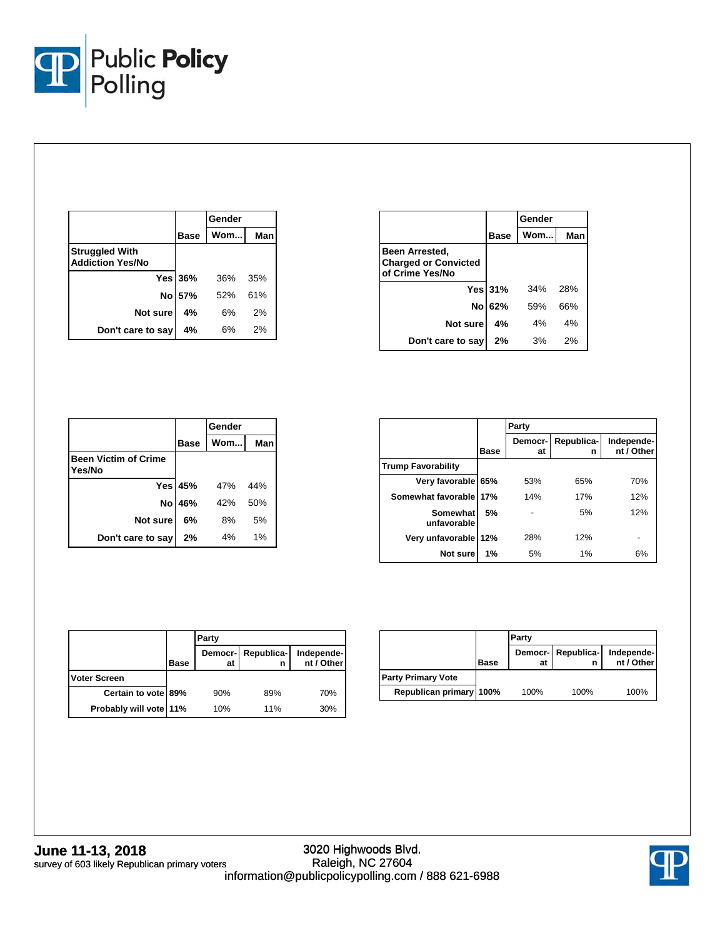

|                                                  |                | Gender |     |  |
|--------------------------------------------------|----------------|--------|-----|--|
|                                                  | <b>Base</b>    | Wom    | Man |  |
| <b>Struggled With</b><br><b>Addiction Yes/No</b> |                |        |     |  |
|                                                  | <b>Yes 36%</b> | 36%    | 35% |  |
|                                                  | No 57%         | 52%    | 61% |  |
| Not sure                                         | 4%             | 6%     | 2%  |  |
| Don't care to say                                | 4%             | 6%     | 2%  |  |

|                                                                         | Gender         |     |     |
|-------------------------------------------------------------------------|----------------|-----|-----|
|                                                                         | <b>Base</b>    | Wom | Man |
| <b>Been Arrested,</b><br><b>Charged or Convicted</b><br>of Crime Yes/No |                |     |     |
|                                                                         | <b>Yes 31%</b> | 34% | 28% |
|                                                                         | No 62%         | 59% | 66% |
| Not sure                                                                | 4%             | 4%  | 4%  |
| Don't care to say                                                       | 2%             | 3%  | 2%  |

|                                       |                | Gender |     |
|---------------------------------------|----------------|--------|-----|
|                                       | <b>Base</b>    | Wom    | Man |
| <b>Been Victim of Crime</b><br>Yes/No |                |        |     |
|                                       | <b>Yes 45%</b> | 47%    | 44% |
| Nol                                   | 46%            | 42%    | 50% |
| Not sure                              | 6%             | 8%     | 5%  |
| Don't care to say                     | 2%             | 4%     | 1%  |

|                           |      | Party         |                 |                          |
|---------------------------|------|---------------|-----------------|--------------------------|
|                           | Base | Democr-<br>at | Republica-<br>n | Independe-<br>nt / Other |
| <b>Trump Favorability</b> |      |               |                 |                          |
| Very favorable 65%        |      | 53%           | 65%             | 70%                      |
| Somewhat favorable 17%    |      | 14%           | 17%             | 12%                      |
| Somewhat<br>unfavorable   | 5%   |               | 5%              | 12%                      |
| Very unfavorable          | 112% | 28%           | 12%             |                          |
| Not sure                  | 1%   | 5%            | 1%              | 6%                       |

|                        |             | Party         |            |                          |
|------------------------|-------------|---------------|------------|--------------------------|
|                        | <b>Base</b> | Democr-<br>at | Republica- | Independe-<br>nt / Other |
| <b>Voter Screen</b>    |             |               |            |                          |
| Certain to vote 89%    |             | 90%           | 89%        | 70%                      |
| Probably will vote 11% |             | 10%           | 11%        | 30%                      |

|                           |             | Party |                         |                          |
|---------------------------|-------------|-------|-------------------------|--------------------------|
|                           | <b>Base</b> | at    | Democr- Republica-<br>n | Independe-<br>nt / Other |
| <b>Party Primary Vote</b> |             |       |                         |                          |
| Republican primary 100%   |             | 100%  | 100%                    | 100%                     |

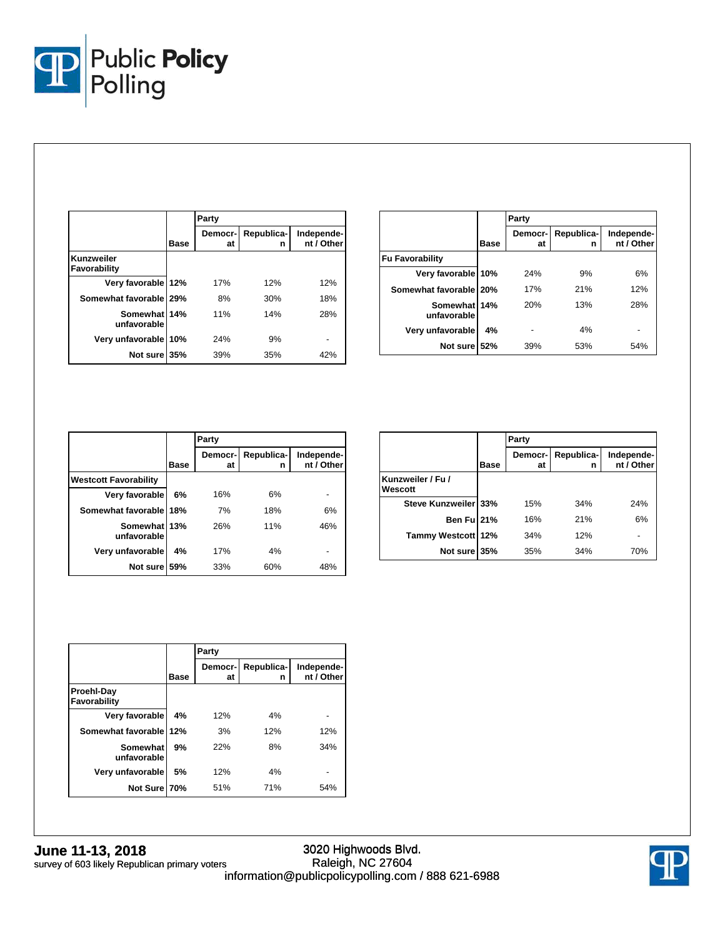

|                             |      | Party         |                 |                          |
|-----------------------------|------|---------------|-----------------|--------------------------|
|                             | Base | Democr-<br>at | Republica-<br>n | Independe-<br>nt / Other |
| Kunzweiler<br>Favorability  |      |               |                 |                          |
| Very favorable 12%          |      | 17%           | 12%             | 12%                      |
| Somewhat favorable 29%      |      | 8%            | 30%             | 18%                      |
| Somewhat 14%<br>unfavorable |      | 11%           | 14%             | 28%                      |
| Very unfavorable            | 10%  | 24%           | 9%              |                          |
| Not sure                    | 35%  | 39%           | 35%             | 42%                      |

|                             |      | Party         |                 |                          |
|-----------------------------|------|---------------|-----------------|--------------------------|
|                             | Base | Democr-<br>at | Republica-<br>n | Independe-<br>nt / Other |
| <b>Fu Favorability</b>      |      |               |                 |                          |
| Very favorable 10%          |      | 24%           | 9%              | 6%                       |
| Somewhat favorable   20%    |      | 17%           | 21%             | 12%                      |
| Somewhat 14%<br>unfavorable |      | 20%           | 13%             | 28%                      |
| Very unfavorable            | 4%   |               | 4%              |                          |
| Not sure 52%                |      | 39%           | 53%             | 54%                      |

|                              |             | Party         |                 |                          |
|------------------------------|-------------|---------------|-----------------|--------------------------|
|                              | <b>Base</b> | Democr-<br>at | Republica-<br>n | Independe-<br>nt / Other |
| <b>Westcott Favorability</b> |             |               |                 |                          |
| Very favorable               | 6%          | 16%           | 6%              |                          |
| Somewhat favorable 18%       |             | 7%            | 18%             | 6%                       |
| Somewhat 13%<br>unfavorable  |             | 26%           | 11%             | 46%                      |
| Very unfavorable             | 4%          | 17%           | 4%              |                          |
| Not sure                     | 59%         | 33%           | 60%             | 48%                      |

|                              |      | Party         |                 |                          |
|------------------------------|------|---------------|-----------------|--------------------------|
|                              | Base | Democr-<br>at | Republica-<br>n | Independe-<br>nt / Other |
| Kunzweiler / Fu /<br>Wescott |      |               |                 |                          |
| Steve Kunzweiler 33%         |      | 15%           | 34%             | 24%                      |
| Ben Fu 21%                   |      | 16%           | 21%             | 6%                       |
| Tammy Westcott 12%           |      | 34%           | 12%             |                          |
| Not sure 35%                 |      | 35%           | 34%             | 70%                      |

|                            |      | Party         |                 |                          |
|----------------------------|------|---------------|-----------------|--------------------------|
|                            | Base | Democr-<br>at | Republica-<br>n | Independe-<br>nt / Other |
| Proehl-Day<br>Favorability |      |               |                 |                          |
| Very favorable             | 4%   | 12%           | 4%              |                          |
| Somewhat favorable 12%     |      | 3%            | 12%             | 12%                      |
| Somewhat<br>unfavorable    | 9%   | 22%           | 8%              | 34%                      |
| Very unfavorable           | 5%   | 12%           | 4%              |                          |
| Not Sure 70%               |      | 51%           | 71%             | 54%                      |

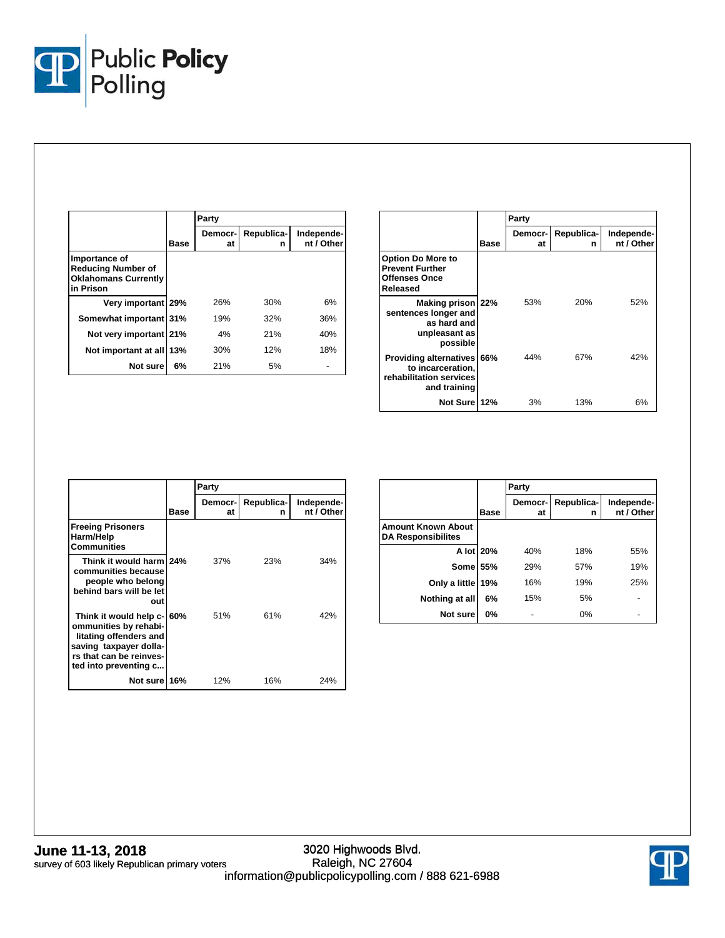

|                                                                                        |      | Party                |                 |                          |
|----------------------------------------------------------------------------------------|------|----------------------|-----------------|--------------------------|
|                                                                                        | Base | <b>Democr-</b><br>at | Republica-<br>n | Independe-<br>nt / Other |
| Importance of<br><b>Reducing Number of</b><br><b>Oklahomans Currently</b><br>in Prison |      |                      |                 |                          |
| Very important 29%                                                                     |      | 26%                  | 30%             | 6%                       |
| Somewhat important 31%                                                                 |      | 19%                  | 32%             | 36%                      |
| Not very important 21%                                                                 |      | 4%                   | 21%             | 40%                      |
| Not important at all                                                                   | 13%  | 30%                  | 12%             | 18%                      |
| Not sure                                                                               | 6%   | 21%                  | 5%              |                          |

|                                                                                                   |      | Party         |                 |                          |
|---------------------------------------------------------------------------------------------------|------|---------------|-----------------|--------------------------|
|                                                                                                   | Base | Democr-<br>at | Republica-<br>n | Independe-<br>nt / Other |
| <b>Option Do More to</b><br><b>Prevent Further</b><br><b>Offenses Once</b><br>Released            |      |               |                 |                          |
| Making prison 22%<br>sentences longer and<br>as hard and<br>unpleasant as<br>possible             |      | 53%           | 20%             | 52%                      |
| <b>Providing alternatives 66%</b><br>to incarceration,<br>rehabilitation services<br>and training |      | 44%           | 67%             | 42%                      |
| Not Sure 12%                                                                                      |      | 3%            | 13%             | 6%                       |

|                                                                                                                                                             |      | Party          |                 |                          |
|-------------------------------------------------------------------------------------------------------------------------------------------------------------|------|----------------|-----------------|--------------------------|
|                                                                                                                                                             | Base | Democr-I<br>at | Republica-<br>n | Independe-<br>nt / Other |
| <b>Freeing Prisoners</b><br>Harm/Help<br>Communities                                                                                                        |      |                |                 |                          |
| Think it would harm 24%<br>communities because<br>people who belong<br>behind bars will be let<br>out                                                       |      | 37%            | 23%             | 34%                      |
| Think it would help c-160%<br>ommunities by rehabi-<br>litating offenders and<br>saving taxpayer dolla-<br>rs that can be reinves-<br>ted into preventing c |      | 51%            | 61%             | 42%                      |
| Not sure 16%                                                                                                                                                |      | 12%            | 16%             | 24%                      |

|                                                        |             | Party          |                 |                          |
|--------------------------------------------------------|-------------|----------------|-----------------|--------------------------|
|                                                        | <b>Base</b> | Democr-<br>at  | Republica-<br>n | Independe-<br>nt / Other |
| <b>Amount Known About</b><br><b>DA Responsibilites</b> |             |                |                 |                          |
| A lot 20%                                              |             | 40%            | 18%             | 55%                      |
| <b>Some 55%</b>                                        |             | 29%            | 57%             | 19%                      |
| Only a little 19%                                      |             | 16%            | 19%             | 25%                      |
| Nothing at all                                         | 6%          | 15%            | 5%              |                          |
| Not sure                                               | 0%          | $\blacksquare$ | 0%              |                          |

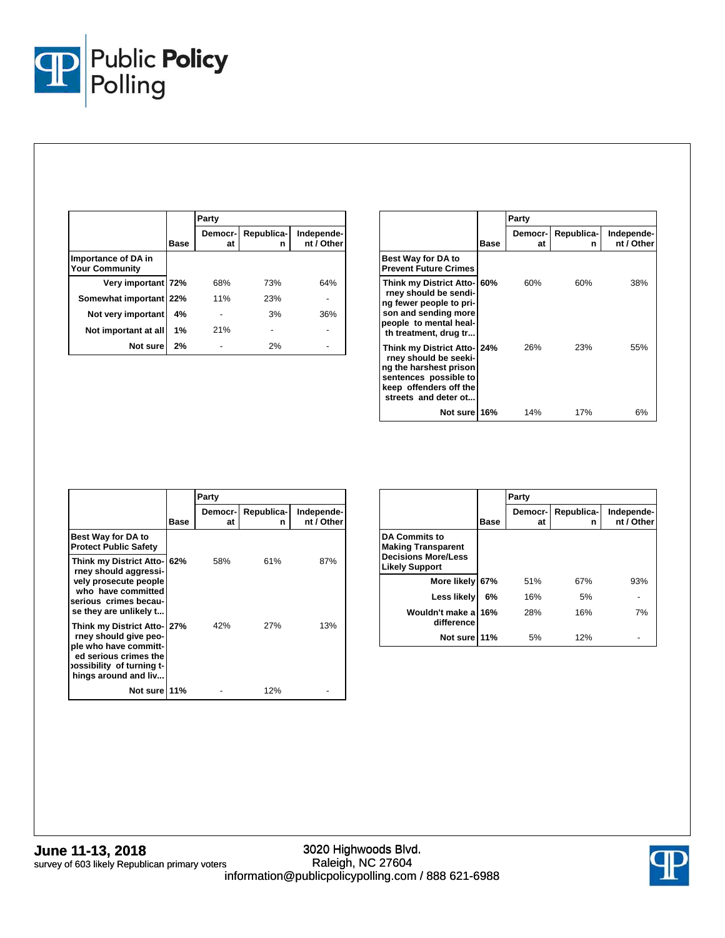

|                                              |      | Party         |                 |                          |
|----------------------------------------------|------|---------------|-----------------|--------------------------|
|                                              | Base | Democr-<br>at | Republica-<br>n | Independe-<br>nt / Other |
| Importance of DA in<br><b>Your Community</b> |      |               |                 |                          |
| Very important 72%                           |      | 68%           | 73%             | 64%                      |
| Somewhat important 22%                       |      | 11%           | 23%             |                          |
| Not very important                           | 4%   |               | 3%              | 36%                      |
| Not important at all                         | 1%   | 21%           |                 |                          |
| Not sure                                     | 2%   |               | 2%              |                          |

|                                                                                                                                                             |      | Party         |                 |                          |
|-------------------------------------------------------------------------------------------------------------------------------------------------------------|------|---------------|-----------------|--------------------------|
|                                                                                                                                                             | Base | Democr-<br>at | Republica-<br>n | Independe-<br>nt / Other |
| Best Way for DA to<br><b>Prevent Future Crimes</b>                                                                                                          |      |               |                 |                          |
| Think my District Atto- 60%<br>rney should be sendi-<br>ng fewer people to pri-<br>son and sending more<br>people to mental heal-<br>th treatment, drug tr  |      | 60%           | 60%             | 38%                      |
| Think my District Atto-   24%<br>rney should be seeki-<br>ng the harshest prison<br>sentences possible to<br>keep offenders off the<br>streets and deter ot |      | 26%           | 23%             | 55%                      |
| Not sure 16%                                                                                                                                                |      | 14%           | 17%             | 6%                       |

|                                                                                                                                                            |      | Party                |                 |                          |
|------------------------------------------------------------------------------------------------------------------------------------------------------------|------|----------------------|-----------------|--------------------------|
|                                                                                                                                                            | Base | <b>Democr-</b><br>at | Republica-<br>n | Independe-<br>nt / Other |
| <b>Best Way for DA to</b><br><b>Protect Public Safety</b>                                                                                                  |      |                      |                 |                          |
| Think my District Atto-162%<br>rney should aggressi-<br>vely prosecute people<br>who have committed<br>serious crimes becau-<br>se they are unlikely t     |      | 58%                  | 61%             | 87%                      |
| Think my District Atto- 27%<br>rney should give peo-<br>ple who have committ-<br>ed serious crimes the<br>ossibility of turning t-<br>hings around and liv |      | 42%                  | 27%             | 13%                      |
| Not sure 11%                                                                                                                                               |      |                      | 12%             |                          |

|                                                                                                          |      | Party         |                 |                          |
|----------------------------------------------------------------------------------------------------------|------|---------------|-----------------|--------------------------|
|                                                                                                          | Base | Democr-<br>at | Republica-<br>n | Independe-<br>nt / Other |
| <b>DA Commits to</b><br><b>Making Transparent</b><br><b>Decisions More/Less</b><br><b>Likely Support</b> |      |               |                 |                          |
| More likely 67%                                                                                          |      | 51%           | 67%             | 93%                      |
| Less likely                                                                                              | 6%   | 16%           | 5%              |                          |
| Wouldn't make a<br>difference                                                                            | 16%  | 28%           | 16%             | 7%                       |
| Not sure 11%                                                                                             |      | 5%            | 12%             |                          |

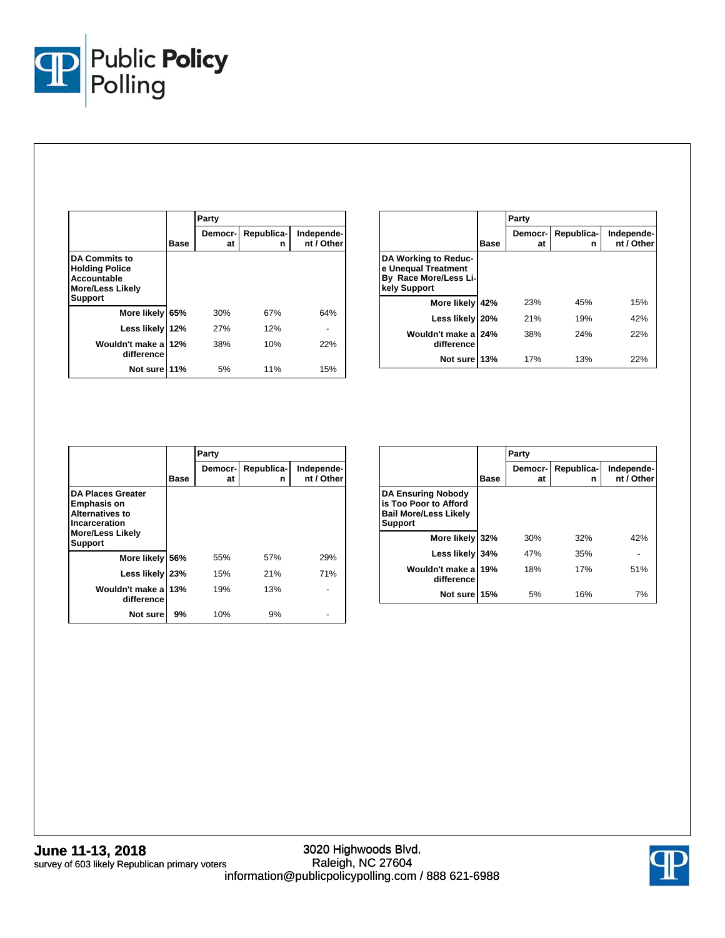

|                                                                                                           |       | Party         |                 |                          |
|-----------------------------------------------------------------------------------------------------------|-------|---------------|-----------------|--------------------------|
|                                                                                                           | Base  | Democr-<br>at | Republica-<br>n | Independe-<br>nt / Other |
| <b>DA Commits to</b><br><b>Holding Police</b><br><b>Accountable</b><br>More/Less Likely<br><b>Support</b> |       |               |                 |                          |
| More likely                                                                                               | 65%   | 30%           | 67%             | 64%                      |
| Less likely                                                                                               | l 12% | <b>27%</b>    | 12%             |                          |
| Wouldn't make a<br>difference                                                                             | 12%   | 38%           | 10%             | 22%                      |
| Not sure 11%                                                                                              |       | 5%            | 11%             | 15%                      |

|                                                                                      |            | Party         |                 |                          |
|--------------------------------------------------------------------------------------|------------|---------------|-----------------|--------------------------|
|                                                                                      | Base       | Democr-<br>at | Republica-<br>n | Independe-<br>nt / Other |
| DA Working to Reduc-<br>e Unequal Treatment<br>By Race More/Less Li-<br>kely Support |            |               |                 |                          |
| More likely                                                                          | 42%        | 23%           | 45%             | 15%                      |
| Less likely                                                                          | <b>20%</b> | 21%           | 19%             | 42%                      |
| Wouldn't make a 24%<br>difference                                                    |            | 38%           | 24%             | 22%                      |
| Not sure 13%                                                                         |            | 17%           | 13%             | 22%                      |

|                                                                                                                                        |      | Party         |                 |                          |
|----------------------------------------------------------------------------------------------------------------------------------------|------|---------------|-----------------|--------------------------|
|                                                                                                                                        | Base | Democr-<br>at | Republica-<br>n | Independe-<br>nt / Other |
| <b>DA Places Greater</b><br><b>Emphasis on</b><br><b>Alternatives to</b><br>Incarceration<br><b>More/Less Likely</b><br><b>Support</b> |      |               |                 |                          |
| More likely 56%                                                                                                                        |      | 55%           | 57%             | 29%                      |
| Less likely 23%                                                                                                                        |      | 15%           | 21%             | 71%                      |
| Wouldn't make a<br>difference                                                                                                          | 13%  | 19%           | 13%             |                          |
| Not sure                                                                                                                               | 9%   | 10%           | 9%              |                          |

|                                                                                                      |      | Party         |                 |                          |
|------------------------------------------------------------------------------------------------------|------|---------------|-----------------|--------------------------|
|                                                                                                      | Base | Democr-<br>at | Republica-<br>n | Independe-<br>nt / Other |
| <b>DA Ensuring Nobody</b><br>is Too Poor to Afford<br><b>Bail More/Less Likely</b><br><b>Support</b> |      |               |                 |                          |
| More likely 32%                                                                                      |      | 30%           | 32%             | 42%                      |
| Less likely                                                                                          | 34%  | 47%           | 35%             |                          |
| Wouldn't make a 19%<br>difference                                                                    |      | 18%           | 17%             | 51%                      |
| Not sure 15%                                                                                         |      | 5%            | 16%             | 7%                       |

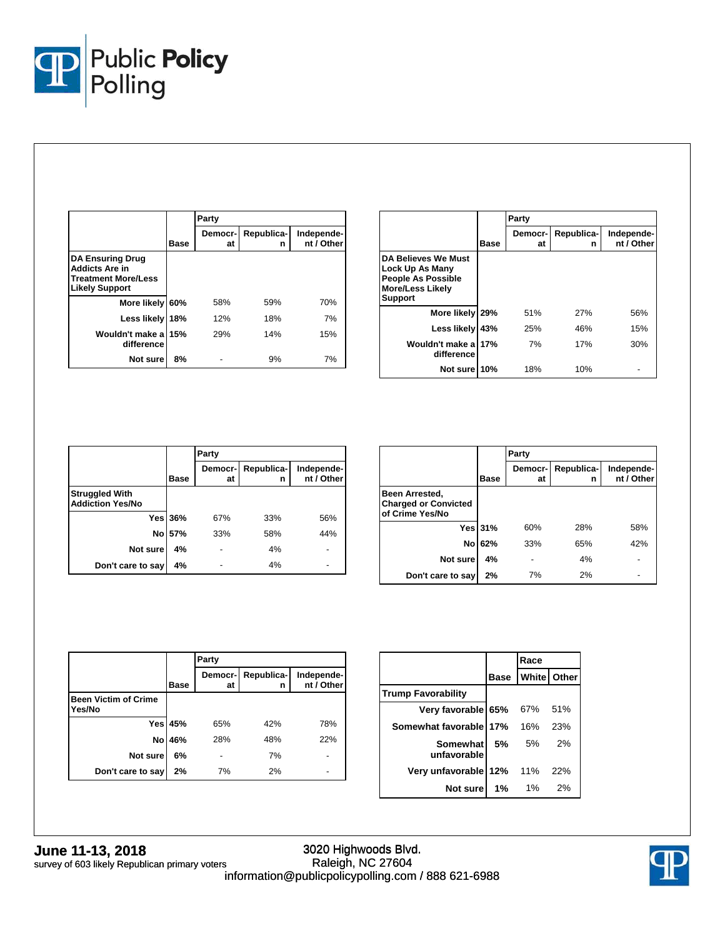

|                                                                                                         |      | Party         |                 |                          |
|---------------------------------------------------------------------------------------------------------|------|---------------|-----------------|--------------------------|
|                                                                                                         | Base | Democr-<br>at | Republica-<br>n | Independe-<br>nt / Other |
| <b>DA Ensuring Drug</b><br><b>Addicts Are in</b><br><b>Treatment More/Less</b><br><b>Likely Support</b> |      |               |                 |                          |
| More likely                                                                                             | 60%  | 58%           | 59%             | 70%                      |
| Less likely                                                                                             | 18%  | 12%           | 18%             | 7%                       |
| Wouldn't make a<br>difference                                                                           | 15%  | 29%           | 14%             | 15%                      |
| Not sure                                                                                                | 8%   |               | 9%              | 7%                       |

|                                                                                                                  |      | Party         |                 |                          |  |  |
|------------------------------------------------------------------------------------------------------------------|------|---------------|-----------------|--------------------------|--|--|
|                                                                                                                  | Base | Democr-<br>at | Republica-<br>n | Independe-<br>nt / Other |  |  |
| DA Believes We Must<br>Lock Up As Many<br><b>People As Possible</b><br><b>More/Less Likely</b><br><b>Support</b> |      |               |                 |                          |  |  |
| More likely                                                                                                      | 29%  | 51%           | <b>27%</b>      | 56%                      |  |  |
| Less likely                                                                                                      | 43%  | 25%           | 46%             | 15%                      |  |  |
| Wouldn't make a<br>difference                                                                                    | 17%  | 7%            | 17%             | 30%                      |  |  |
| Not sure 10%                                                                                                     |      | 18%           | 10%             |                          |  |  |

|                                                  |                | Party         |                 |                          |
|--------------------------------------------------|----------------|---------------|-----------------|--------------------------|
|                                                  | <b>Base</b>    | Democr-<br>at | Republica-<br>n | Independe-<br>nt / Other |
| <b>Struggled With</b><br><b>Addiction Yes/No</b> |                |               |                 |                          |
|                                                  | <b>Yes 36%</b> | 67%           | 33%             | 56%                      |
| No l                                             | 57%            | 33%           | 58%             | 44%                      |
| Not sure                                         | 4%             |               | 4%              |                          |
| Don't care to say                                | 4%             |               | 4%              |                          |

|                                                                  |                | Party         |                 |                          |
|------------------------------------------------------------------|----------------|---------------|-----------------|--------------------------|
|                                                                  | <b>Base</b>    | Democr-<br>at | Republica-<br>n | Independe-<br>nt / Other |
| Been Arrested,<br><b>Charged or Convicted</b><br>of Crime Yes/No |                |               |                 |                          |
|                                                                  | <b>Yes 31%</b> | 60%           | 28%             | 58%                      |
| No                                                               | 62%            | 33%           | 65%             | 42%                      |
| Not sure                                                         | 4%             |               | 4%              |                          |
| Don't care to say                                                | 2%             | 7%            | 2%              |                          |

|                                       |                | Party         |                 |                          |
|---------------------------------------|----------------|---------------|-----------------|--------------------------|
|                                       | <b>Base</b>    | Democr-<br>at | Republica-<br>n | Independe-<br>nt / Other |
| <b>Been Victim of Crime</b><br>Yes/No |                |               |                 |                          |
|                                       | <b>Yes 45%</b> | 65%           | 42%             | 78%                      |
| No                                    | 46%            | 28%           | 48%             | 22%                      |
| Not sure                              | 6%             |               | 7%              |                          |
| Don't care to say                     | 2%             | 7%            | 2%              |                          |

|                           |      | Race                 |     |
|---------------------------|------|----------------------|-----|
|                           | Base | <b>White   Other</b> |     |
| <b>Trump Favorability</b> |      |                      |     |
| Very favorable 65%        |      | 67%                  | 51% |
| Somewhat favorable 17%    |      | 16%                  | 23% |
| Somewhat<br>unfavorable   | 5%   | .5%                  | 2%  |
| Very unfavorable 12% 11%  |      |                      | 22% |
| Not sure                  | 1%   | 1%                   | 2%  |

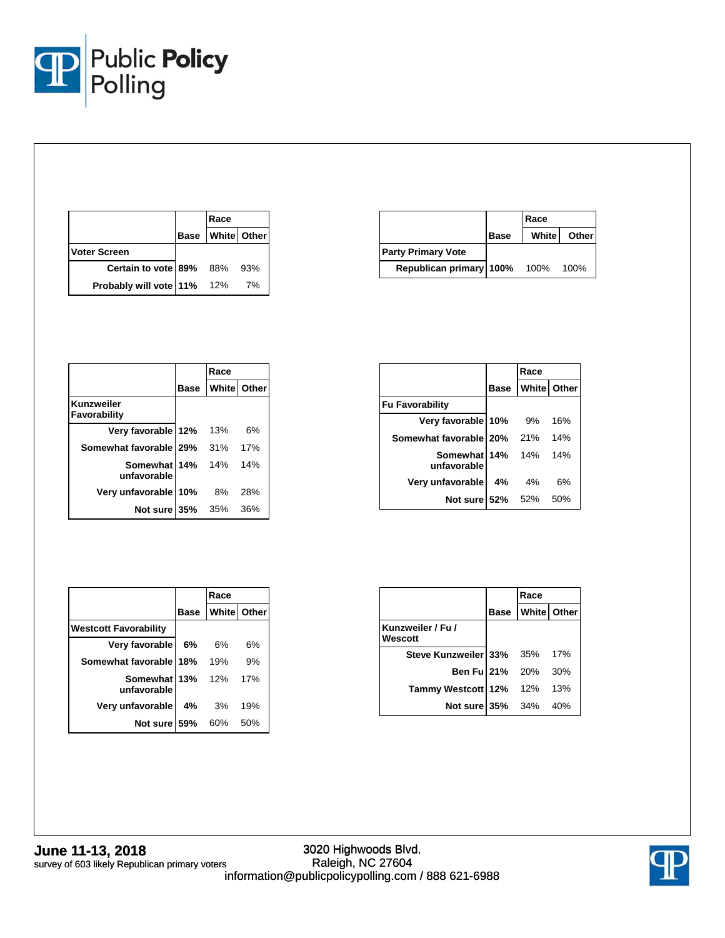

|                            | Race                    |     |
|----------------------------|-------------------------|-----|
|                            | <b>Base White Other</b> |     |
| <b>Voter Screen</b>        |                         |     |
| Certain to vote 89% 88%    |                         | 93% |
| Probably will vote 11% 12% |                         | 7%  |

|                           |             | Race         |              |
|---------------------------|-------------|--------------|--------------|
|                           | <b>Base</b> | <b>White</b> | <b>Other</b> |
| <b>Party Primary Vote</b> |             |              |              |
| Republican primary 100%   |             | 100%         | 100%         |

|                             |             | Race               |     |
|-----------------------------|-------------|--------------------|-----|
|                             | <b>Base</b> | <b>White</b> Other |     |
| Kunzweiler<br>Favorability  |             |                    |     |
| Very favorable 12%          |             | 13%                | 6%  |
| Somewhat favorable 29%      |             | 31%                | 17% |
| Somewhat 14%<br>unfavorable |             | 14%                | 14% |
| Very unfavorable            | 10%         | 8%                 | 28% |
| Not sure 35%                |             | 35%                | 36% |

|                             |             | Race |             |
|-----------------------------|-------------|------|-------------|
|                             | <b>Base</b> |      | White Other |
| <b>Fu Favorability</b>      |             |      |             |
| Very favorable 10%          |             | 9%   | 16%         |
| Somewhat favorable 20%      |             | 21%  | 14%         |
| Somewhat 14%<br>unfavorable |             | 14%  | 14%         |
| Very unfavorable            | 4%          | 4%   | 6%          |
| Not sure 52%                |             | 52%  | 50%         |

|                              |             | Race               |     |
|------------------------------|-------------|--------------------|-----|
|                              | <b>Base</b> | <b>White</b> Other |     |
| <b>Westcott Favorability</b> |             |                    |     |
| Very favorable               | 6%          | 6%                 | 6%  |
| Somewhat favorable 18%       |             | 19%                | 9%  |
| Somewhat 13%<br>unfavorable  |             | 12%                | 17% |
| Very unfavorable             | 4%          | - 3%               | 19% |
| Not sure 59%                 |             | 60%                | 50% |

|                              | Race                    |       |
|------------------------------|-------------------------|-------|
|                              | <b>Base White Other</b> |       |
| Kunzweiler / Fu /<br>Wescott |                         |       |
| Steve Kunzweiler 33% 35%     |                         | 17%   |
| <b>Ben Ful 21%</b> 20%       |                         | 30%   |
| Tammy Westcott 12% 12%       |                         | - 13% |
| <b>Not sure 35%</b> 34%      |                         | 40%   |

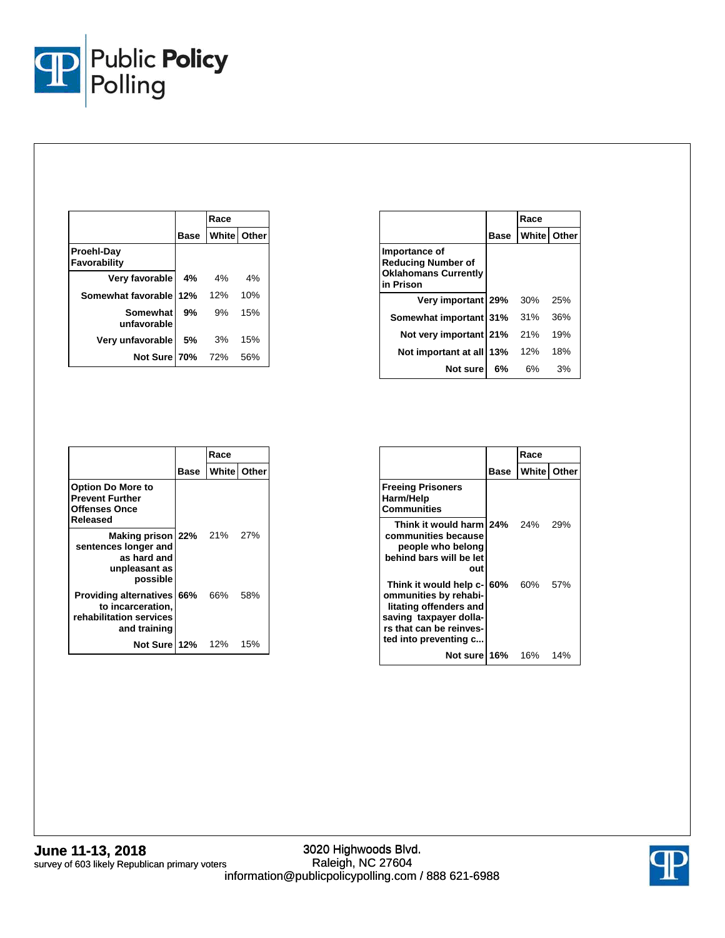

|                                   |      | Race |                    |
|-----------------------------------|------|------|--------------------|
|                                   | Base |      | <b>White Other</b> |
| <b>Proehl-Day</b><br>Favorability |      |      |                    |
| Very favorable                    | 4%   | 4%   | 4%                 |
| Somewhat favorable 12%            |      | 12%  | 10%                |
| Somewhat<br>unfavorable           | 9%   | .9%  | 15%                |
| Very unfavorable                  | 5%   | 3%   | 15%                |
| Not Sure 70%                      |      | 72%  | 56%                |

|                                                                                        |      | Race |             |
|----------------------------------------------------------------------------------------|------|------|-------------|
|                                                                                        | Base |      | White Other |
| Importance of<br><b>Reducing Number of</b><br><b>Oklahomans Currently</b><br>in Prison |      |      |             |
| Very important 29%                                                                     |      | 30%  | 25%         |
| Somewhat important 31%                                                                 |      | 31%  | 36%         |
| Not very important 21%                                                                 |      | 21%  | 19%         |
| Not important at all 13%                                                               |      | 12%  | 18%         |
| Not sure                                                                               | 6%   | 6%   | 3%          |

|                                                                                                   |      | Race               |     |
|---------------------------------------------------------------------------------------------------|------|--------------------|-----|
|                                                                                                   | Base | <b>White Other</b> |     |
| <b>Option Do More to</b><br><b>Prevent Further</b><br><b>Offenses Once</b><br>Released            |      |                    |     |
| Making prison 22% 21% 27%<br>sentences longer and<br>as hard and<br>unpleasant as<br>possible     |      |                    |     |
| <b>Providing alternatives 66%</b><br>to incarceration,<br>rehabilitation services<br>and training |      | 66%                | 58% |
| Not Sure 12% 12%                                                                                  |      |                    | 15% |

|                                                                                                                                                         |      | Race |                      |
|---------------------------------------------------------------------------------------------------------------------------------------------------------|------|------|----------------------|
|                                                                                                                                                         | Base |      | <b>White   Other</b> |
| <b>Freeing Prisoners</b><br>Harm/Help<br><b>Communities</b>                                                                                             |      |      |                      |
| Think it would harm 24% 24%<br>communities because<br>people who belong<br>behind bars will be let<br>out                                               |      |      | - 29%                |
| Think it would help c-<br>ommunities by rehabi-<br>litating offenders and<br>saving taxpayer dolla-<br>rs that can be reinves-<br>ted into preventing c | 60%  | 60%  | 57%                  |
| Not sure l                                                                                                                                              | 16%  | 16%  | 14%                  |

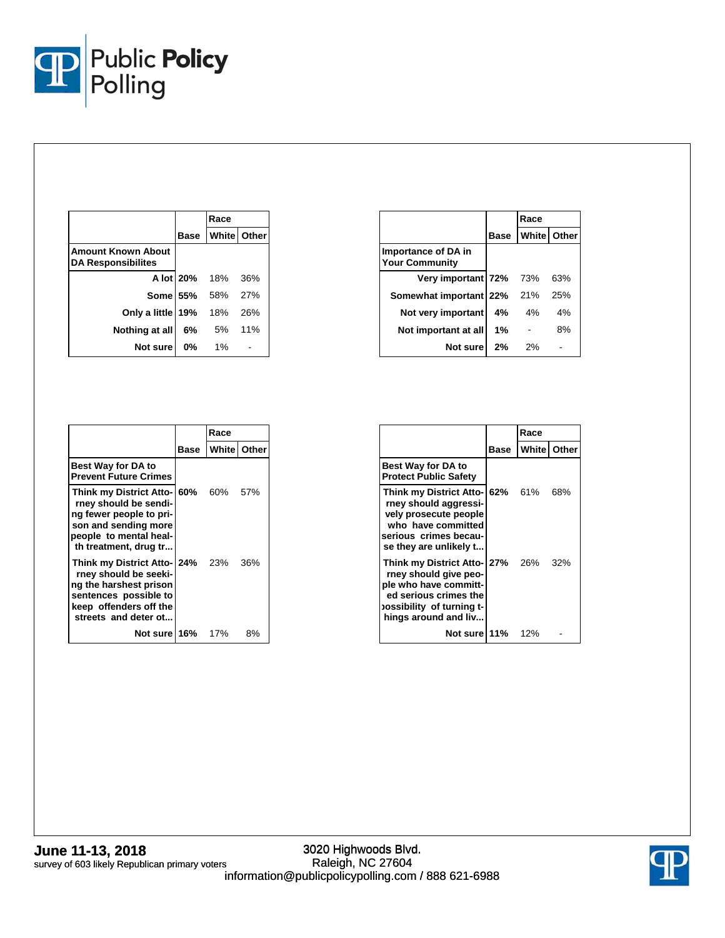

|                                                        |                      | Race                     |     |
|--------------------------------------------------------|----------------------|--------------------------|-----|
|                                                        |                      | <b>Base Whitel Other</b> |     |
| <b>Amount Known About</b><br><b>DA Responsibilites</b> |                      |                          |     |
|                                                        | <b>A lot 20%</b> 18% |                          | 36% |
|                                                        | <b>Some 55%</b> 58%  |                          | 27% |
| Only a little 19%                                      |                      | 18%                      | 26% |
| Nothing at all                                         | 6%                   | 5% 11%                   |     |
| Not sure                                               | $0\%$                | $1\%$                    |     |

|                                              |             | Race        |     |
|----------------------------------------------|-------------|-------------|-----|
|                                              | <b>Base</b> | White Other |     |
| Importance of DA in<br><b>Your Community</b> |             |             |     |
| Very important 72% 73%                       |             |             | 63% |
| Somewhat important 22% 21%                   |             |             | 25% |
| Not very important                           | 4%          | 4%          | 4%  |
| Not important at all                         | 1%          |             | 8%  |
| Not sure                                     | 2%          | 2%          |     |

|                                                                                                                                                            |      | Race    |                    |
|------------------------------------------------------------------------------------------------------------------------------------------------------------|------|---------|--------------------|
|                                                                                                                                                            | Base |         | <b>White Other</b> |
| <b>Best Way for DA to</b><br><b>Prevent Future Crimes</b>                                                                                                  |      |         |                    |
| Think my District Atto- 60%<br>rney should be sendi-<br>ng fewer people to pri-<br>son and sending more<br>people to mental heal-<br>th treatment, drug tr |      | 60% 57% |                    |
| Think my District Atto- 24%<br>rney should be seeki-<br>ng the harshest prison<br>sentences possible to<br>keep offenders off the<br>streets and deter ot  |      | 23%     | 36%                |
| Not surel 16%                                                                                                                                              |      | 17%     | 8%                 |

|                                                                                                                                                                |      | Race               |     |
|----------------------------------------------------------------------------------------------------------------------------------------------------------------|------|--------------------|-----|
|                                                                                                                                                                | Base | <b>White Other</b> |     |
| <b>Best Way for DA to</b><br><b>Protect Public Safety</b>                                                                                                      |      |                    |     |
| Think my District Atto-162% 61%<br>rney should aggressi-<br>vely prosecute people<br>who have committed<br>serious crimes becau-<br>se they are unlikely t     |      |                    | 68% |
| Think my District Atto- 27% 26%<br>rney should give peo-<br>ple who have committ-<br>ed serious crimes the<br>-ossibility of turning t<br>hings around and liv |      |                    | 32% |
| <b>Not sure 11%</b> 12%                                                                                                                                        |      |                    |     |

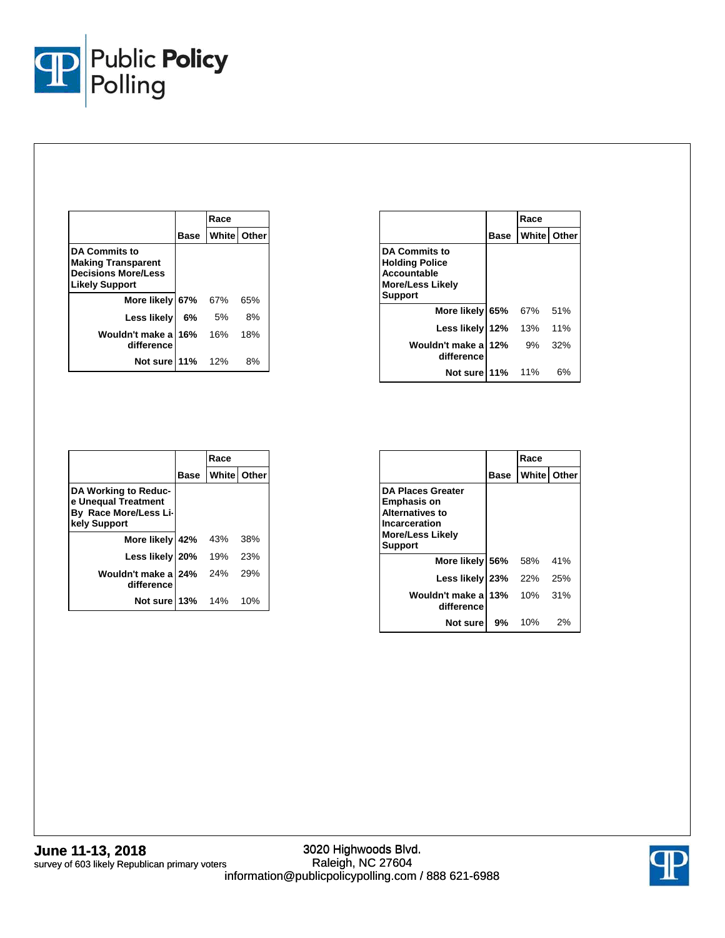

|                                                                                                          |      | Race                |     |
|----------------------------------------------------------------------------------------------------------|------|---------------------|-----|
|                                                                                                          | Base | <b>Whitel Other</b> |     |
| <b>DA Commits to</b><br><b>Making Transparent</b><br><b>Decisions More/Less</b><br><b>Likely Support</b> |      |                     |     |
| More likely 67%                                                                                          |      | 67%                 | 65% |
| Less likely                                                                                              | 6%   | .5%                 | 8%  |
| Wouldn't make a<br>difference                                                                            | 16%  | 16%                 | 18% |
| Not sure 11%                                                                                             |      | 12%                 | 8%  |

|                                                                                                                  |             | Race               |     |
|------------------------------------------------------------------------------------------------------------------|-------------|--------------------|-----|
|                                                                                                                  | <b>Base</b> | <b>White Other</b> |     |
| <b>DA Commits to</b><br><b>Holding Police</b><br><b>Accountable</b><br><b>More/Less Likely</b><br><b>Support</b> |             |                    |     |
| More likely 65%                                                                                                  |             | 67%                | 51% |
| Less likely 12%                                                                                                  |             | 13%                | 11% |
| Wouldn't make a<br>difference                                                                                    | 12%         | 9%                 | 32% |
| Not sure 11%                                                                                                     |             | 11%                | 6%  |

|                                                                                      |      | Race               |     |
|--------------------------------------------------------------------------------------|------|--------------------|-----|
|                                                                                      | Base | <b>White</b> Other |     |
| DA Working to Reduc-<br>e Unequal Treatment<br>By Race More/Less Li-<br>kely Support |      |                    |     |
| More likely 42%                                                                      |      | 43%                | 38% |
| Less likely 20% 19%                                                                  |      |                    | 23% |
| Wouldn't make al 24% 24%<br>difference                                               |      |                    | 29% |
| Not sure 13% 14%                                                                     |      |                    | 10% |

|                                                                                                                                        |      | Race               |     |
|----------------------------------------------------------------------------------------------------------------------------------------|------|--------------------|-----|
|                                                                                                                                        | Base | <b>White Other</b> |     |
| <b>DA Places Greater</b><br><b>Emphasis on</b><br><b>Alternatives to</b><br>Incarceration<br><b>More/Less Likely</b><br><b>Support</b> |      |                    |     |
| More likely 56%                                                                                                                        |      | 58%                | 41% |
| Less likely 23%                                                                                                                        |      | 22%                | 25% |
| Wouldn't make a<br>difference                                                                                                          | 13%  | 10%                | 31% |
| Not sure                                                                                                                               | 9%   | 10%                | 2%  |

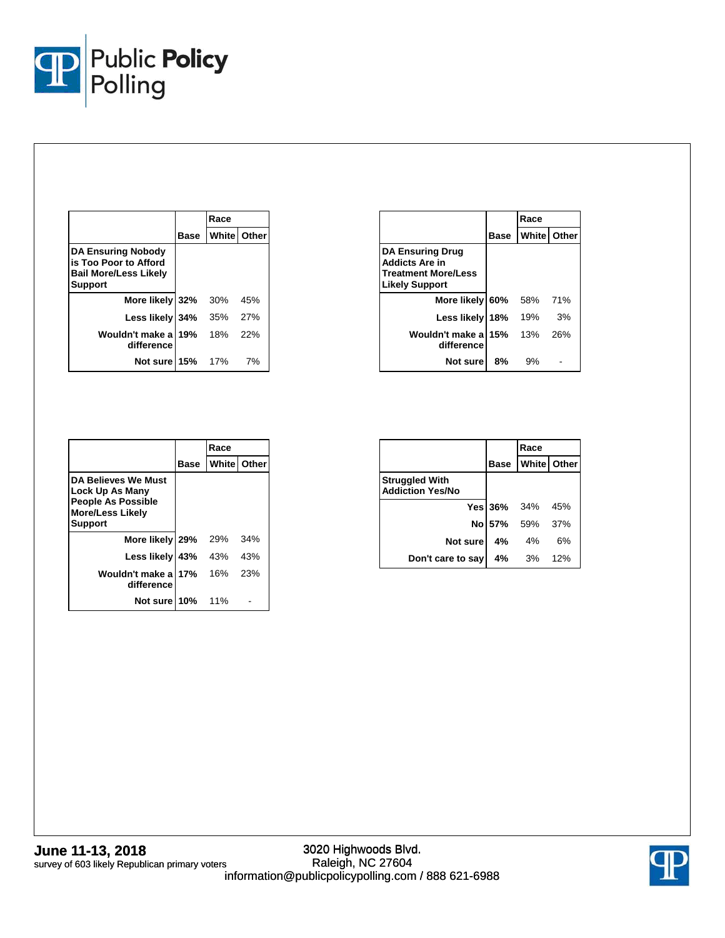

|                                                                                                      |      | Race                 |     |  |
|------------------------------------------------------------------------------------------------------|------|----------------------|-----|--|
|                                                                                                      | Base | <b>White   Other</b> |     |  |
| <b>DA Ensuring Nobody</b><br>is Too Poor to Afford<br><b>Bail More/Less Likely</b><br><b>Support</b> |      |                      |     |  |
| More likely 32%                                                                                      |      | 30%                  | 45% |  |
| Less likely 34%                                                                                      |      | 35%                  | 27% |  |
| Wouldn't make a<br>difference                                                                        | 19%  | 18%                  | 22% |  |
| Not sure 15%                                                                                         |      | 17%                  | 7%  |  |

|                                                                                                         |      | Race |                      |
|---------------------------------------------------------------------------------------------------------|------|------|----------------------|
|                                                                                                         | Base |      | <b>White   Other</b> |
| <b>DA Ensuring Drug</b><br><b>Addicts Are in</b><br><b>Treatment More/Less</b><br><b>Likely Support</b> |      |      |                      |
| More likely 60%                                                                                         |      | 58%  | 71%                  |
| Less likely                                                                                             | 18%  | 19%  | 3%                   |
| Wouldn't make a<br>difference                                                                           | 15%  | 13%  | 26%                  |
| Not sure                                                                                                | 8%   | 9%   |                      |

|                                                                                                                  |      | Race          |     |
|------------------------------------------------------------------------------------------------------------------|------|---------------|-----|
|                                                                                                                  | Base | White   Other |     |
| <b>DA Believes We Must</b><br>Lock Up As Many<br><b>People As Possible</b><br><b>More/Less Likely</b><br>Support |      |               |     |
| More likely 29%                                                                                                  |      | 29%           | 34% |
| Less likely 43%                                                                                                  |      | 43%           | 43% |
| Wouldn't make al 17%<br>difference                                                                               |      | 16%           | 23% |
| Not sure 10%                                                                                                     |      | 11%           |     |

|                                                  |    | Race                    |     |
|--------------------------------------------------|----|-------------------------|-----|
|                                                  |    | <b>Base White Other</b> |     |
| <b>Struggled With</b><br><b>Addiction Yes/No</b> |    |                         |     |
|                                                  |    | Yes 36% 34% 45%         |     |
|                                                  |    | No 57% 59% 37%          |     |
| Not sure                                         | 4% | 4%                      | 6%  |
| Don't care to say                                |    | 4% 3%                   | 12% |

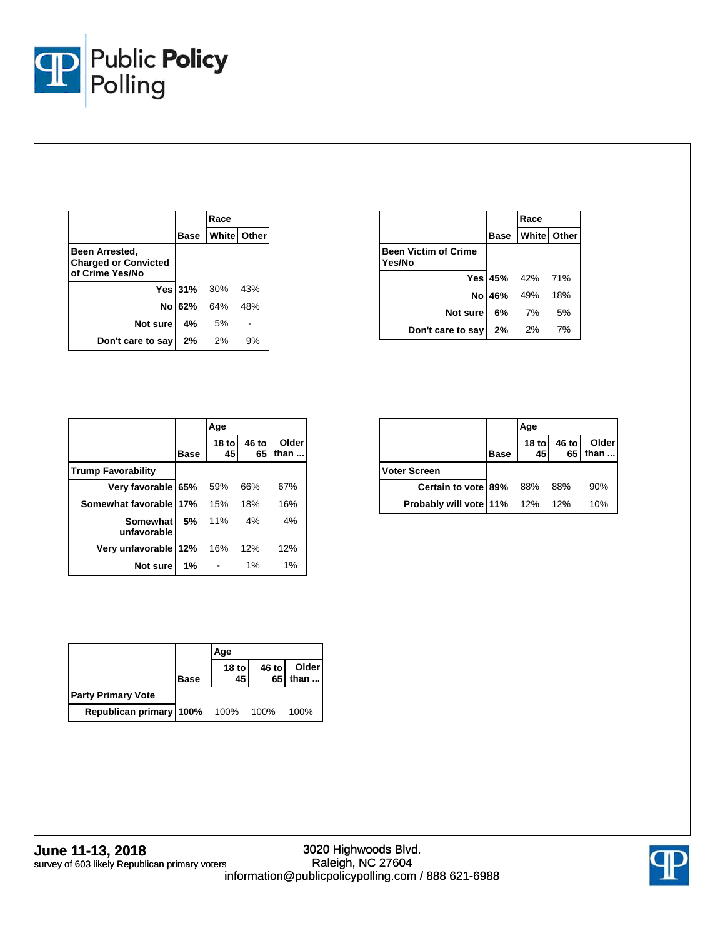

|                                                                  |    | Race                          |    |  |
|------------------------------------------------------------------|----|-------------------------------|----|--|
|                                                                  |    | <b>Base   White   Other  </b> |    |  |
| Been Arrested,<br><b>Charged or Convicted</b><br>of Crime Yes/No |    |                               |    |  |
|                                                                  |    | Yes 31% 30% 43%               |    |  |
|                                                                  |    | No 62% 64% 48%                |    |  |
| Not sure                                                         | 4% | .5%                           |    |  |
| Don't care to say                                                | 2% | $2\%$                         | 9% |  |

|                                       | Race                          |      |
|---------------------------------------|-------------------------------|------|
|                                       | <b>Base   White   Other  </b> |      |
| <b>Been Victim of Crime</b><br>Yes/No |                               |      |
|                                       | Yes 45% 42% 71%               |      |
|                                       | No 46% 49% 18%                |      |
| Not sure                              | 6% 7%                         | - 5% |
| Don't care to say 2%                  | 2%                            | 7%   |

|                           |             | Age           |             |               |
|---------------------------|-------------|---------------|-------------|---------------|
|                           | <b>Base</b> | $18$ to<br>45 | 46 to<br>65 | Older<br>than |
| <b>Trump Favorability</b> |             |               |             |               |
| Very favorable 65%        |             | 59%           | 66%         | 67%           |
| Somewhat favorable 17%    |             | 15%           | 18%         | 16%           |
| Somewhat<br>unfavorable   | 5%          | 11%           | 4%          | 4%            |
| Very unfavorable 12%      |             | 16%           | 12%         | 12%           |
| Not sure                  | 1%          |               | $1\%$       | 1%            |

|                                       |             | Age           |                          |               |
|---------------------------------------|-------------|---------------|--------------------------|---------------|
|                                       | <b>Base</b> | $18$ to<br>45 | 46 to<br>65 <sub>1</sub> | Older<br>than |
| <b>Voter Screen</b>                   |             |               |                          |               |
| Certain to vote 89% 88%               |             |               | - 88%                    | 90%           |
| <b>Probably will vote 11%</b> 12% 12% |             |               |                          | 10%           |

|                           |             | Age         |       |                    |
|---------------------------|-------------|-------------|-------|--------------------|
|                           | <b>Base</b> | 18 to<br>45 | 46 to | Older<br>$65$ than |
| <b>Party Primary Vote</b> |             |             |       |                    |
| Republican primary 100%   |             | 100% 100%   |       | 100%               |

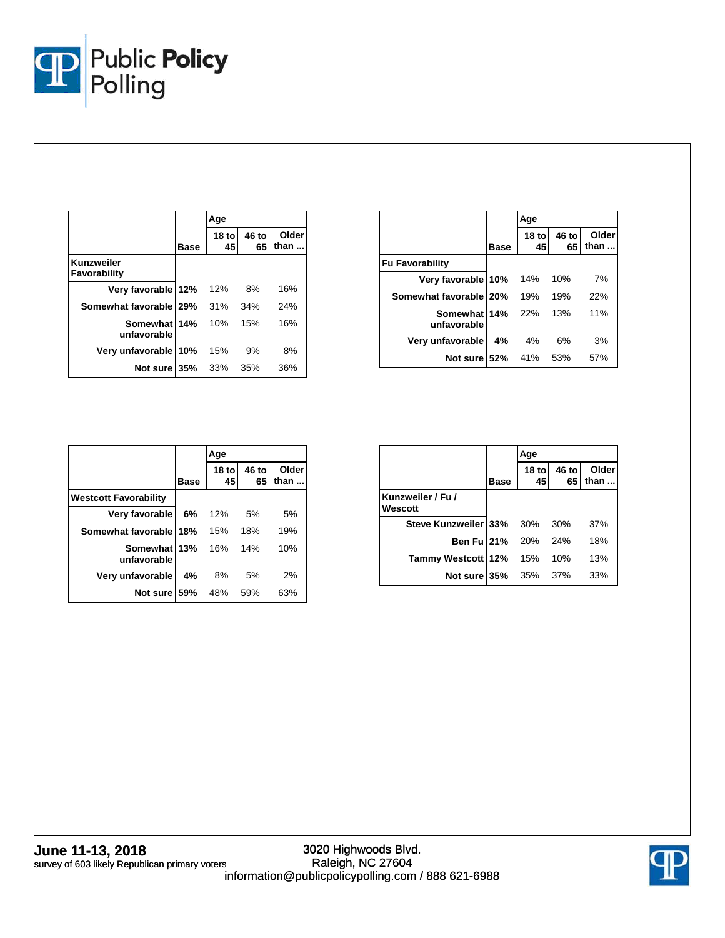

|                             |      | Age           |             |               |
|-----------------------------|------|---------------|-------------|---------------|
|                             | Base | $18$ to<br>45 | 46 to<br>65 | Older<br>than |
| Kunzweiler<br>Favorability  |      |               |             |               |
| Very favorable 12%          |      | 12%           | 8%          | 16%           |
| Somewhat favorable   29%    |      | 31%           | 34%         | 24%           |
| Somewhat 14%<br>unfavorable |      | 10%           | 15%         | 16%           |
| Very unfavorable 10%        |      | 15%           | 9%          | 8%            |
| Not sure 35%                |      | 33%           | 35%         | 36%           |

|                             |             | Age                    |             |               |
|-----------------------------|-------------|------------------------|-------------|---------------|
|                             | <b>Base</b> | 18 <sub>to</sub><br>45 | 46 to<br>65 | Older<br>than |
| <b>Fu Favorability</b>      |             |                        |             |               |
| Very favorable 10%          |             | 14%                    | 10%         | 7%            |
| Somewhat favorable   20%    |             | 19%                    | 19%         | 22%           |
| Somewhat 14%<br>unfavorable |             | 22%                    | 13%         | 11%           |
| Very unfavorable            | 4%          | 4%                     | 6%          | 3%            |
| Not sure 52%                |             | 41%                    | 53%         | 57%           |

|                              |             | Age                    |             |               |
|------------------------------|-------------|------------------------|-------------|---------------|
|                              | <b>Base</b> | 18 <sub>to</sub><br>45 | 46 to<br>65 | Older<br>than |
| <b>Westcott Favorability</b> |             |                        |             |               |
| Very favorable               | 6%          | 12%                    | 5%          | 5%            |
| Somewhat favorable 18%       |             | 15%                    | 18%         | 19%           |
| Somewhat 13%<br>unfavorable  |             | 16%                    | 14%         | 10%           |
| Very unfavorable             | 4%          | 8%                     | 5%          | 2%            |
| Not sure 59%                 |             | 48%                    | 59%         | 63%           |

|                              |      | Age                        |             |               |
|------------------------------|------|----------------------------|-------------|---------------|
|                              | Base | 18 to $\overline{ }$<br>45 | 46 to<br>65 | Older<br>than |
| Kunzweiler / Fu /<br>Wescott |      |                            |             |               |
| Steve Kunzweiler 33% 30% 30% |      |                            |             | 37%           |
| <b>Ben Ful 21%</b> 20%       |      |                            | 24%         | 18%           |
| Tammy Westcott 12% 15%       |      |                            | 10%         | 13%           |
| Not sure 35% 35% 37%         |      |                            |             | 33%           |

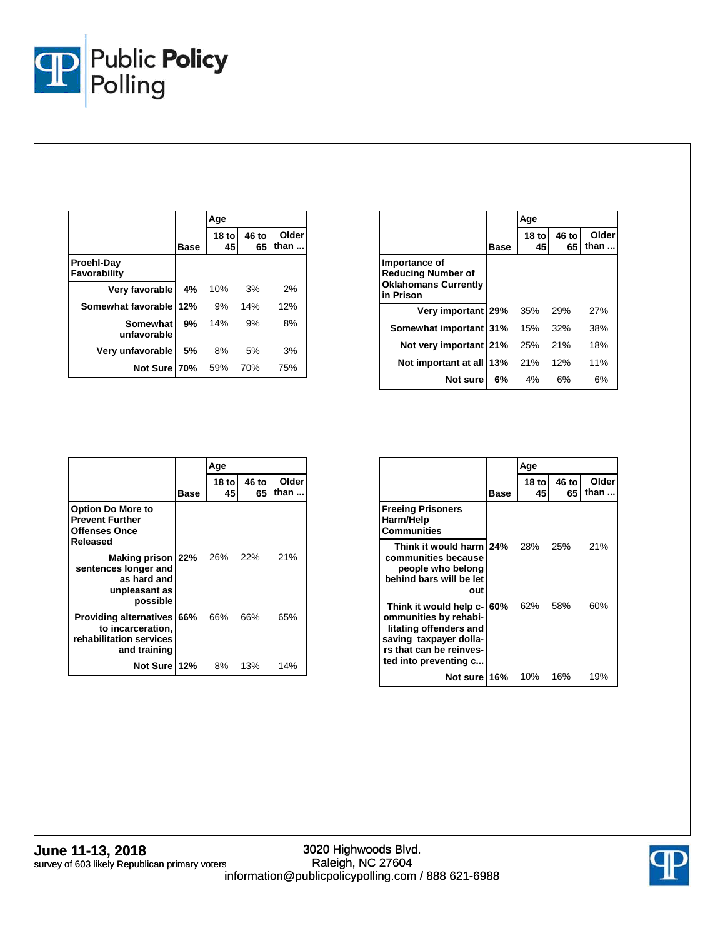

|                            |             | Age           |             |               |
|----------------------------|-------------|---------------|-------------|---------------|
|                            | <b>Base</b> | $18$ to<br>45 | 46 to<br>65 | Older<br>than |
| Proehl-Day<br>Favorability |             |               |             |               |
| Very favorable             | 4%          | 10%           | 3%          | 2%            |
| Somewhat favorable 12%     |             | 9%            | 14%         | 12%           |
| Somewhat<br>unfavorable    | 9%          | 14%           | 9%          | 8%            |
| Very unfavorable           | 5%          | 8%            | 5%          | 3%            |
| Not Sure 70%               |             | 59%           | 70%         | 75%           |

|                                                                                        |      | Age                    |             |               |
|----------------------------------------------------------------------------------------|------|------------------------|-------------|---------------|
|                                                                                        | Base | 18 <sub>to</sub><br>45 | 46 to<br>65 | Older<br>than |
| Importance of<br><b>Reducing Number of</b><br><b>Oklahomans Currently</b><br>in Prison |      |                        |             |               |
| Very important 29%                                                                     |      | 35%                    | 29%         | 27%           |
| Somewhat important 31%                                                                 |      | 15%                    | 32%         | 38%           |
| Not very important 21%                                                                 |      | 25%                    | 21%         | 18%           |
| Not important at all 13%                                                               |      | 21%                    | 12%         | 11%           |
| Not sure                                                                               | 6%   | 4%                     | 6%          | 6%            |

|                                                                                                    |             | Age          |             |               |
|----------------------------------------------------------------------------------------------------|-------------|--------------|-------------|---------------|
|                                                                                                    | <b>Base</b> | 18 tol<br>45 | 46 to<br>65 | Older<br>than |
| <b>Option Do More to</b><br><b>Prevent Further</b><br><b>Offenses Once</b><br>Released             |             |              |             |               |
| Making prison 22% 26% 22%<br>sentences longer and<br>as hard and<br>unpleasant as<br>possible      |             |              |             | 21%           |
| Providing alternatives 66% 66% 66%<br>to incarceration,<br>rehabilitation services<br>and training |             |              |             | 65%           |
| Not Sure 12% 8%                                                                                    |             |              | 13%         | 14%           |

|                                                                                                                                                         |      | Age         |             |               |
|---------------------------------------------------------------------------------------------------------------------------------------------------------|------|-------------|-------------|---------------|
|                                                                                                                                                         | Base | 18 to<br>45 | 46 to<br>65 | Older<br>than |
| <b>Freeing Prisoners</b><br>Harm/Help<br><b>Communities</b>                                                                                             |      |             |             |               |
| Think it would harm 24%<br>communities because<br>people who belong<br>behind bars will be let<br>out                                                   |      | 28%         | 25%         | 21%           |
| Think it would help c-<br>ommunities by rehabi-<br>litating offenders and<br>saving taxpayer dolla-<br>rs that can be reinves-<br>ted into preventing c | 60%  | 62%         | 58%         | 60%           |
| Not sure 16%                                                                                                                                            |      | 10%         | 16%         | 19%           |

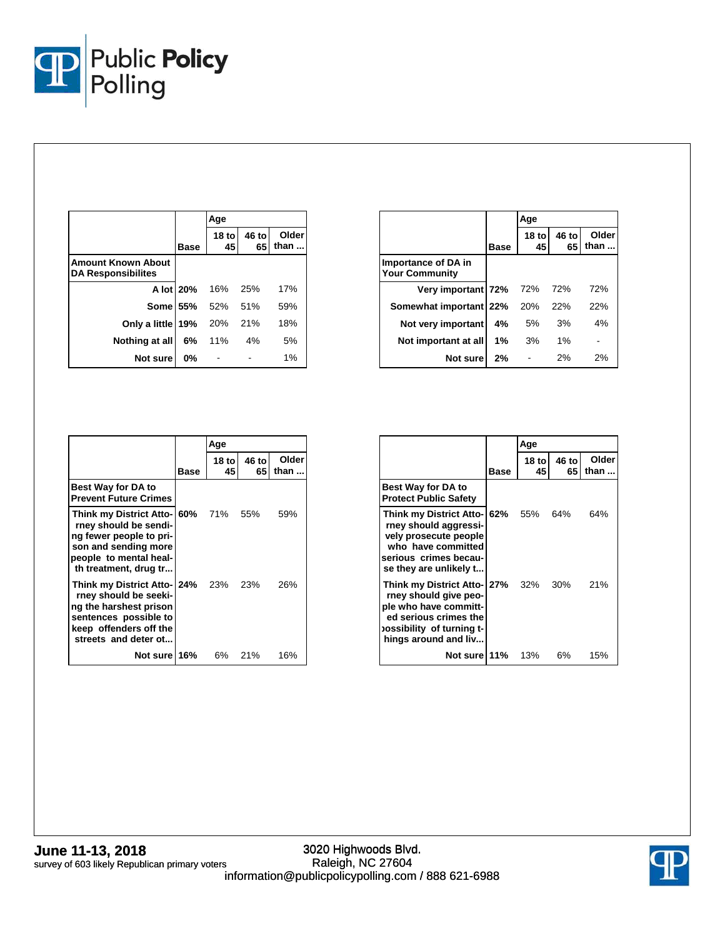

|                                                        |             | Age               |             |               |
|--------------------------------------------------------|-------------|-------------------|-------------|---------------|
|                                                        | <b>Base</b> | $18$ to<br>45     | 46 to<br>65 | Older<br>than |
| <b>Amount Known About</b><br><b>DA Responsibilites</b> |             |                   |             |               |
|                                                        |             | A lot 20% 16% 25% |             | 17%           |
|                                                        |             | Some 55% 52% 51%  |             | 59%           |
| <b>Only a little 19%</b> 20% 21%                       |             |                   |             | 18%           |
| Nothing at all                                         |             | $6\%$ 11% 4%      |             | 5%            |
| Not sure                                               | 0%          |                   |             | 1%            |

|                                              |      | Age           |             |               |
|----------------------------------------------|------|---------------|-------------|---------------|
|                                              | Base | $18$ to<br>45 | 46 to<br>65 | Older<br>than |
| Importance of DA in<br><b>Your Community</b> |      |               |             |               |
| Very important 72% 72%                       |      |               | 72%         | 72%           |
| Somewhat important 22%                       |      | 20%           | 22%         | 22%           |
| Not very important                           | 4%   | 5%            | 3%          | 4%            |
| Not important at all                         | 1%   | 3%            | $1\%$       |               |
| Not sure                                     | 2%   |               | 2%          | 2%            |

|                                                                                                                                                                    |      | Age           |              |               |
|--------------------------------------------------------------------------------------------------------------------------------------------------------------------|------|---------------|--------------|---------------|
|                                                                                                                                                                    | Base | $18$ to<br>45 | 46 to<br>651 | Older<br>than |
| <b>Best Way for DA to</b><br><b>Prevent Future Crimes</b>                                                                                                          |      |               |              |               |
| Think my District Atto-160% 71% 55%<br>rney should be sendi-<br>ng fewer people to pri-<br>son and sending more<br>people to mental heal-<br>th treatment, drug tr |      |               |              | 59%           |
| Think my District Atto- 24% 23% 23%<br>rney should be seeki-<br>ng the harshest prison<br>sentences possible to<br>keep offenders off the<br>streets and deter ot  |      |               |              | 26%           |
| Not sure 16%                                                                                                                                                       |      | 6%            | 21%          | 16%           |

|                                                                                                                                                                     |      | Age                    |             |               |
|---------------------------------------------------------------------------------------------------------------------------------------------------------------------|------|------------------------|-------------|---------------|
|                                                                                                                                                                     | Base | 18 <sub>to</sub><br>45 | 46 to<br>65 | Older<br>than |
| <b>Best Way for DA to</b><br><b>Protect Public Safety</b>                                                                                                           |      |                        |             |               |
| Think my District Atto-162% 55%<br>rney should aggressi-<br>vely prosecute people<br>who have committed<br>serious crimes becau-<br>se they are unlikely t          |      |                        | 64%         | 64%           |
| Think my District Atto- 27% 32% 30%<br>rney should give peo-<br>ple who have committ-<br>ed serious crimes the<br>-ossibility  of turning t<br>hings around and liv |      |                        |             | 21%           |
| Not sure 11%                                                                                                                                                        |      | 13%                    | 6%          | 15%           |

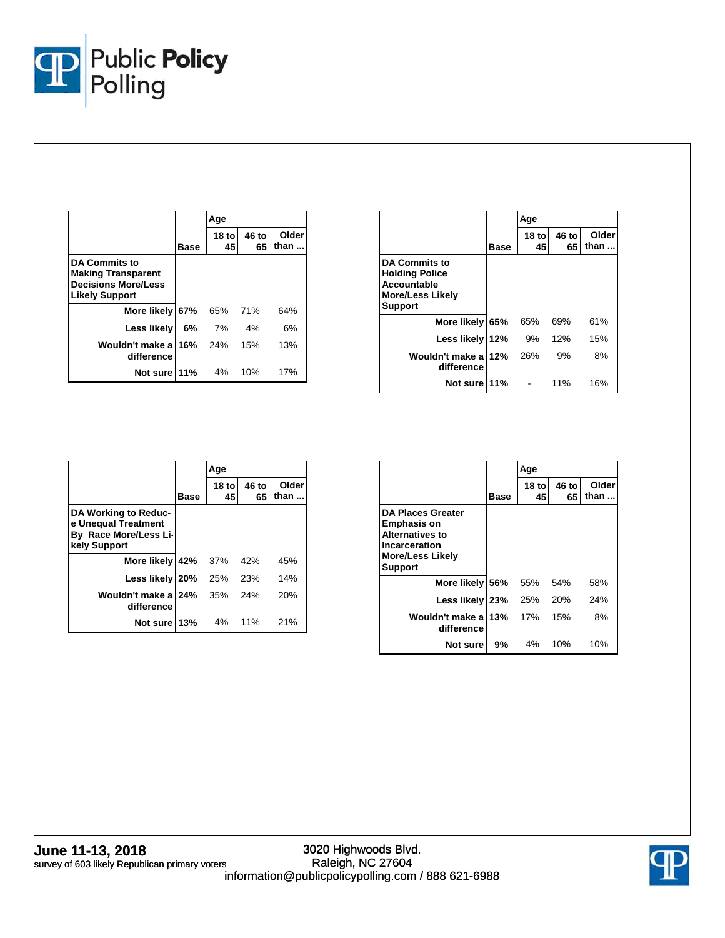

|                                                                                                          |         | Age          |             |               |
|----------------------------------------------------------------------------------------------------------|---------|--------------|-------------|---------------|
|                                                                                                          | Base    | 18 tol<br>45 | 46 to<br>65 | Older<br>than |
| <b>DA Commits to</b><br><b>Making Transparent</b><br><b>Decisions More/Less</b><br><b>Likely Support</b> |         |              |             |               |
| More likely 67%                                                                                          |         | 65%          | 71%         | 64%           |
| Less likely                                                                                              | 6%      | 7%           | 4%          | 6%            |
| Wouldn't make a<br>difference                                                                            | 16% 24% |              | 15%         | 13%           |
| Not sure 11%                                                                                             |         | 4%           | 10%         | 17%           |

|                                                                                                           |      | Age                    |             |               |
|-----------------------------------------------------------------------------------------------------------|------|------------------------|-------------|---------------|
|                                                                                                           | Base | 18 <sub>to</sub><br>45 | 46 to<br>65 | Older<br>than |
| <b>DA Commits to</b><br><b>Holding Police</b><br><b>Accountable</b><br>More/Less Likely<br><b>Support</b> |      |                        |             |               |
| More likely 65%                                                                                           |      | 65%                    | 69%         | 61%           |
| Less likely 12%                                                                                           |      | 9%                     | 12%         | 15%           |
| Wouldn't make a<br>difference                                                                             | 12%  | 26%                    | 9%          | 8%            |
| Not sure                                                                                                  | 11%  |                        | 11%         | 16%           |

|                                                                                      |      | Age           |             |               |
|--------------------------------------------------------------------------------------|------|---------------|-------------|---------------|
|                                                                                      | Base | $18$ to<br>45 | 46 to<br>65 | Older<br>than |
| DA Working to Reduc-<br>e Unequal Treatment<br>By Race More/Less Li-<br>kely Support |      |               |             |               |
| More likely 42%                                                                      |      | 37%           | 42%         | 45%           |
| Less likely 20%                                                                      |      | 25%           | 23%         | 14%           |
| Wouldn't make a<br>difference                                                        | 24%  | 35%           | 24%         | 20%           |
| Not sure                                                                             | 13%  | 4%            | 11%         | 21%           |

|                                                                                                                                        |             | Age           |             |               |
|----------------------------------------------------------------------------------------------------------------------------------------|-------------|---------------|-------------|---------------|
|                                                                                                                                        | <b>Base</b> | $18$ to<br>45 | 46 to<br>65 | Older<br>than |
| <b>DA Places Greater</b><br><b>Emphasis on</b><br><b>Alternatives to</b><br>Incarceration<br><b>More/Less Likely</b><br><b>Support</b> |             |               |             |               |
| More likely 56%                                                                                                                        |             | 55%           | 54%         | 58%           |
| Less likely                                                                                                                            | <b>23%</b>  | 25%           | 20%         | 24%           |
| Wouldn't make a<br>difference                                                                                                          | 13%         | 17%           | 15%         | 8%            |
| Not sure                                                                                                                               | 9%          | 4%            | 10%         | 10%           |

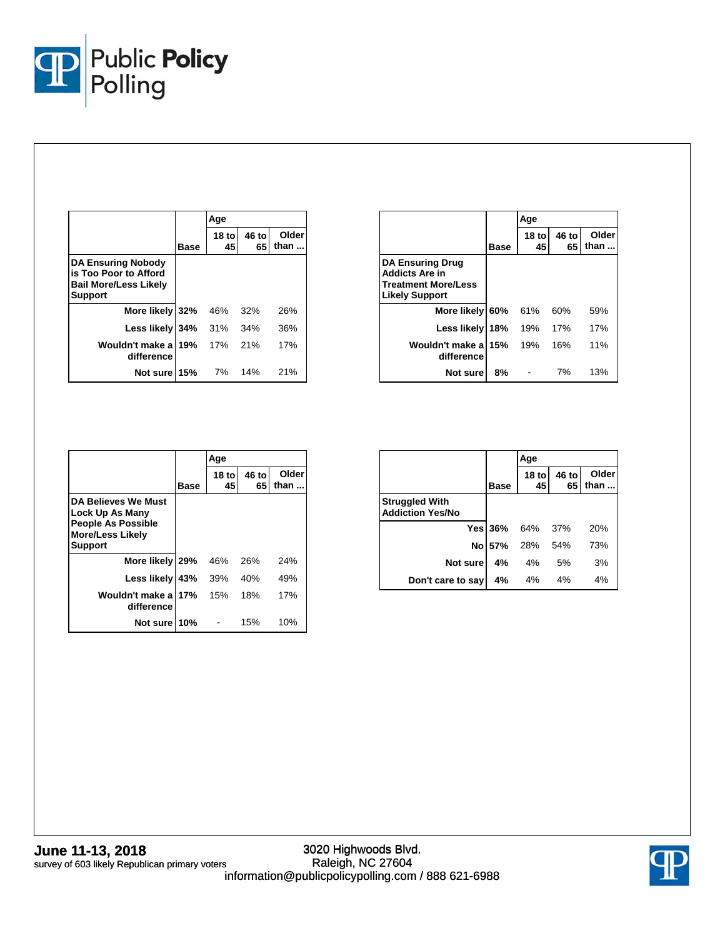

|                                                                                               |             | Age          |             |               |
|-----------------------------------------------------------------------------------------------|-------------|--------------|-------------|---------------|
|                                                                                               | <b>Base</b> | 18 tol<br>45 | 46 to<br>65 | Older<br>than |
| <b>DA Ensuring Nobody</b><br>is Too Poor to Afford<br><b>Bail More/Less Likely</b><br>Support |             |              |             |               |
| More likely 32%                                                                               |             | 46%          | 32%         | 26%           |
| Less likely 34%                                                                               |             | 31%          | 34%         | 36%           |
| Wouldn't make a<br>difference                                                                 | 19%         | 17%          | 21%         | 17%           |
| Not sure 15%                                                                                  |             | 7%           | 14%         | 21%           |

|                                                                                                         |             | Age                    |             |               |
|---------------------------------------------------------------------------------------------------------|-------------|------------------------|-------------|---------------|
|                                                                                                         | <b>Base</b> | 18 <sub>to</sub><br>45 | 46 to<br>65 | Older<br>than |
| <b>DA Ensuring Drug</b><br><b>Addicts Are in</b><br><b>Treatment More/Less</b><br><b>Likely Support</b> |             |                        |             |               |
| More likely                                                                                             | 60%         | 61%                    | 60%         | 59%           |
| Less likely                                                                                             | 18%         | 19%                    | 17%         | 17%           |
| Wouldn't make a<br>difference                                                                           | 15%         | 19%                    | 16%         | 11%           |
| Not sure                                                                                                | 8%          |                        | 7%          | 13%           |

|                                                                                                                  |             | Age           |             |               |
|------------------------------------------------------------------------------------------------------------------|-------------|---------------|-------------|---------------|
|                                                                                                                  | <b>Base</b> | $18$ to<br>45 | 46 to<br>65 | Older<br>than |
| DA Believes We Must<br>Lock Up As Many<br><b>People As Possible</b><br><b>More/Less Likely</b><br><b>Support</b> |             |               |             |               |
| More likely                                                                                                      | 29%         | 46%           | 26%         | 24%           |
| Less likely                                                                                                      | 43%         | 39%           | 40%         | 49%           |
| Wouldn't make a<br>difference                                                                                    | 17%         | 15%           | 18%         | 17%           |
| Not sure                                                                                                         | 10%         |               | 15%         | 10%           |

|                                                  |             | Age             |             |                      |
|--------------------------------------------------|-------------|-----------------|-------------|----------------------|
|                                                  | <b>Base</b> | $18$ to<br>45   | 46 to<br>65 | <b>Older</b><br>than |
| <b>Struggled With</b><br><b>Addiction Yes/No</b> |             |                 |             |                      |
|                                                  |             | Yes 36% 64% 37% |             | 20%                  |
|                                                  |             | No 57% 28% 54%  |             | 73%                  |
| Not sure                                         | 4%          | 4%              | - 5%        | 3%                   |
| Don't care to say                                | 4%          | 4%              | 4%          | 4%                   |

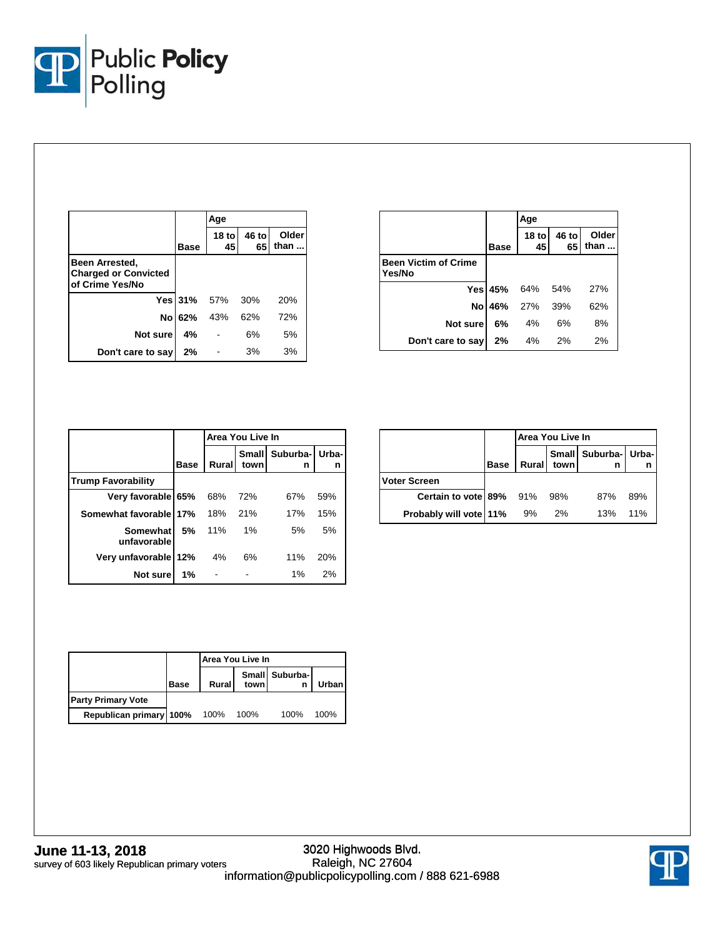

|                                                                  |             | Age             |             |               |
|------------------------------------------------------------------|-------------|-----------------|-------------|---------------|
|                                                                  | <b>Base</b> | $18$ to<br>45   | 46 to<br>65 | Older<br>than |
| Been Arrested,<br><b>Charged or Convicted</b><br>of Crime Yes/No |             |                 |             |               |
|                                                                  |             | Yes 31% 57% 30% |             | <b>20%</b>    |
| Nol                                                              | 62%         | 43%             | 62%         | 72%           |
| Not sure                                                         | 4%          |                 | 6%          | 5%            |
| Don't care to say                                                | 2%          |                 | 3%          | 3%            |

|                                       |             | Age              |             |               |
|---------------------------------------|-------------|------------------|-------------|---------------|
|                                       | <b>Base</b> | 18 <sub>to</sub> | 46 to<br>65 | Older<br>than |
| <b>Been Victim of Crime</b><br>Yes/No |             |                  |             |               |
|                                       |             | Yes 45% 64% 54%  |             | 27%           |
|                                       |             | No 46% 27% 39%   |             | 62%           |
| Not sure                              | 6%          | 4%               | 6%          | 8%            |
| Don't care to say                     | 2%          | $4\%$            | 2%          | 2%            |

|                           | Area You Live In |       |                      |               |            |  |
|---------------------------|------------------|-------|----------------------|---------------|------------|--|
|                           | Base             | Rural | <b>Small</b><br>town | Suburba-<br>n | Urba-<br>n |  |
| <b>Trump Favorability</b> |                  |       |                      |               |            |  |
| Very favorable 65%        |                  | 68%   | 72%                  | 67%           | 59%        |  |
| Somewhat favorable 17%    |                  | 18%   | 21%                  | 17%           | 15%        |  |
| Somewhat<br>unfavorable   | 5%               | 11%   | 1%                   | 5%            | 5%         |  |
| Very unfavorable 12%      |                  | 4%    | 6%                   | 11%           | 20%        |  |
| Not sure                  | 1%               |       |                      | 1%            | 2%         |  |

|                             |      | Area You Live In |      |                           |     |  |
|-----------------------------|------|------------------|------|---------------------------|-----|--|
|                             | Base | Rural            | town | Small Suburba- Urba-<br>n | n   |  |
| <b>Voter Screen</b>         |      |                  |      |                           |     |  |
| Certain to vote 89% 91% 98% |      |                  |      | 87%                       | 89% |  |
| Probably will vote 11%      |      | 9%               | 2%   | 13%                       | 11% |  |

|                           |      | Area You Live In |      |                |       |  |
|---------------------------|------|------------------|------|----------------|-------|--|
|                           | Base | Rural            | town | Small Suburba- | Urban |  |
| <b>Party Primary Vote</b> |      |                  |      |                |       |  |
| Republican primary 100%   |      | 100%             | 100% | 100%           | 100%  |  |

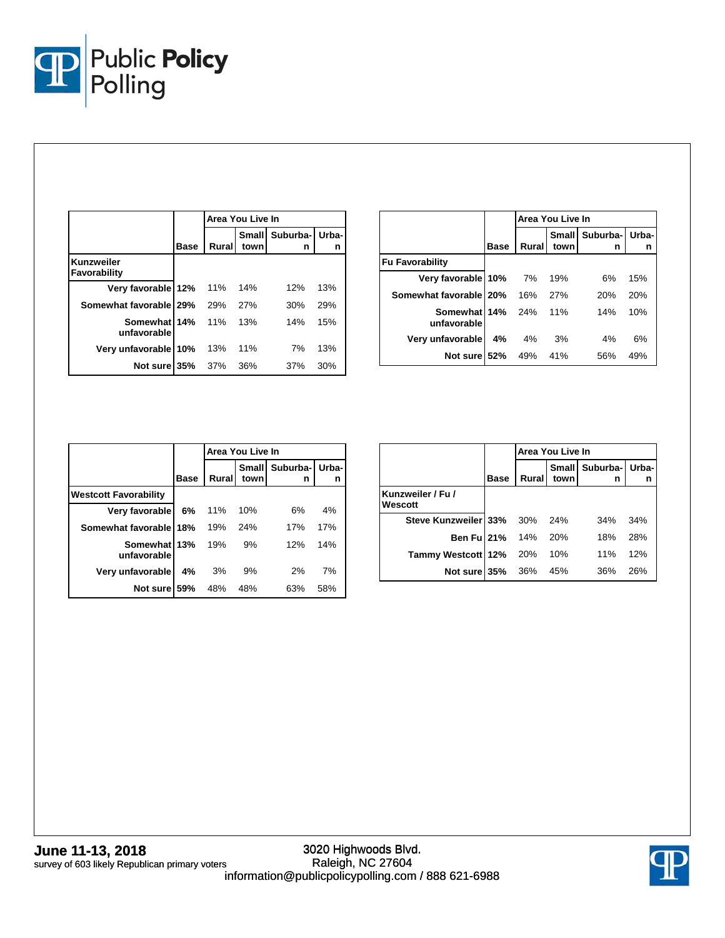

|                             |             | Area You Live In |               |               |            |
|-----------------------------|-------------|------------------|---------------|---------------|------------|
|                             | <b>Base</b> | Rural            | Small<br>town | Suburba-<br>n | Urba-<br>n |
| Kunzweiler<br>Favorability  |             |                  |               |               |            |
| Very favorable 12%          |             | 11%              | 14%           | 12%           | 13%        |
| Somewhat favorable 29%      |             | 29%              | 27%           | 30%           | 29%        |
| Somewhat 14%<br>unfavorable |             | 11%              | 13%           | 14%           | 15%        |
| Very unfavorable 10%        |             | 13%              | 11%           | 7%            | 13%        |
| Not sure 35%                |             | 37%              | 36%           | 37%           | 30%        |

|                             |      | Area You Live In |               |               |            |  |
|-----------------------------|------|------------------|---------------|---------------|------------|--|
|                             | Base | Rural            | Small<br>town | Suburba-<br>n | Urba-<br>n |  |
| <b>Fu Favorability</b>      |      |                  |               |               |            |  |
| Very favorable 10%          |      | 7%               | 19%           | 6%            | 15%        |  |
| Somewhat favorable   20%    |      | 16%              | 27%           | 20%           | 20%        |  |
| Somewhat 14%<br>unfavorable |      | 24%              | 11%           | 14%           | 10%        |  |
| Very unfavorable            | 4%   | 4%               | 3%            | 4%            | 6%         |  |
| Not sure 52%                |      | 49%              | 41%           | 56%           | 49%        |  |

|                              |             | Area You Live In |                      |               |            |  |
|------------------------------|-------------|------------------|----------------------|---------------|------------|--|
|                              | <b>Base</b> | Rural            | <b>Small</b><br>town | Suburba-<br>n | Urba-<br>n |  |
| <b>Westcott Favorability</b> |             |                  |                      |               |            |  |
| Very favorable               | 6%          | 11%              | 10%                  | 6%            | 4%         |  |
| Somewhat favorable           | 18%         | 19%              | 24%                  | 17%           | 17%        |  |
| Somewhat 13%<br>unfavorable  |             | 19%              | 9%                   | 12%           | 14%        |  |
| Very unfavorable             | 4%          | 3%               | 9%                   | 2%            | 7%         |  |
| Not sure                     | 59%         | 48%              | 48%                  | 63%           | 58%        |  |

|                              |             | Area You Live In |      |                               |     |  |
|------------------------------|-------------|------------------|------|-------------------------------|-----|--|
|                              | <b>Base</b> | Rural            | town | Small   Suburba-   Urba-<br>n | n   |  |
| Kunzweiler / Fu /<br>Wescott |             |                  |      |                               |     |  |
| Steve Kunzweiler 33% 30%     |             |                  | 24%  | 34%                           | 34% |  |
| Ben Fu 21%                   |             | 14%              | 20%  | 18%                           | 28% |  |
| Tammy Westcott 12% 20%       |             |                  | 10%  | 11%                           | 12% |  |
| Not sure 35%                 |             | 36%              | 45%  | 36%                           | 26% |  |

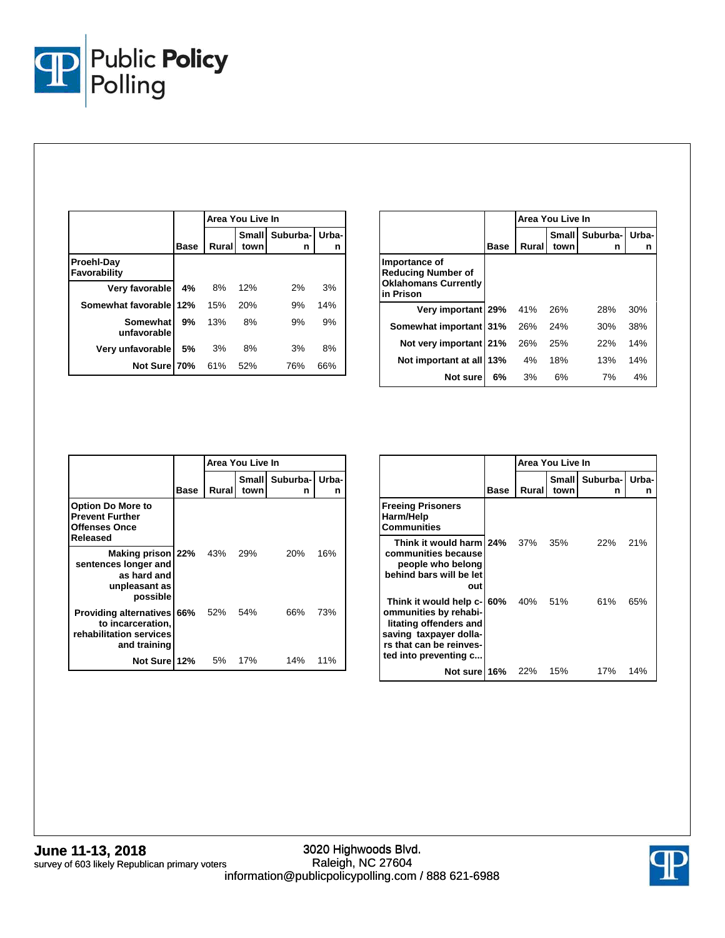

|                            |             | Area You Live In |                      |               |            |
|----------------------------|-------------|------------------|----------------------|---------------|------------|
|                            | <b>Base</b> | Rural            | <b>Small</b><br>town | Suburba-<br>n | Urba-<br>n |
| Proehl-Day<br>Favorability |             |                  |                      |               |            |
| Very favorable             | 4%          | 8%               | 12%                  | 2%            | 3%         |
| Somewhat favorable 12%     |             | 15%              | <b>20%</b>           | 9%            | 14%        |
| Somewhat<br>unfavorable    | 9%          | 13%              | 8%                   | 9%            | 9%         |
| Very unfavorable           | 5%          | 3%               | 8%                   | 3%            | 8%         |
| Not Sure 70%               |             | 61%              | 52%                  | 76%           | 66%        |

|                                                                                        |             | Area You Live In |                      |               |            |  |
|----------------------------------------------------------------------------------------|-------------|------------------|----------------------|---------------|------------|--|
|                                                                                        | <b>Base</b> | Rural            | <b>Small</b><br>town | Suburba-<br>n | Urba-<br>n |  |
| Importance of<br><b>Reducing Number of</b><br><b>Oklahomans Currently</b><br>in Prison |             |                  |                      |               |            |  |
| Very important 29%                                                                     |             | 41%              | 26%                  | 28%           | 30%        |  |
| Somewhat important 31%                                                                 |             | 26%              | 24%                  | 30%           | 38%        |  |
| Not very important 21%                                                                 |             | 26%              | 25%                  | 22%           | 14%        |  |
| Not important at all 13%                                                               |             | 4%               | 18%                  | 13%           | 14%        |  |
| Not sure                                                                               | 6%          | 3%               | 6%                   | 7%            | 4%         |  |

|                                                                                                |             |        | Area You Live In |                           |     |
|------------------------------------------------------------------------------------------------|-------------|--------|------------------|---------------------------|-----|
|                                                                                                | <b>Base</b> | Rurall | town             | Small Suburba- Urba-<br>n | n   |
| <b>Option Do More to</b><br><b>Prevent Further</b><br><b>Offenses Once</b><br>Released         |             |        |                  |                           |     |
| Making prison 22% 43%<br>sentences longer and<br>as hard and<br>unpleasant as<br>possible      |             |        | 29%              | 20%                       | 16% |
| Providing alternatives 66% 52%<br>to incarceration,<br>rehabilitation services<br>and training |             |        | 54%              | 66%                       | 73% |
| Not Sure 12%                                                                                   |             | 5%     | 17%              | 14%                       | 11% |

|                                                                                                                                                         |      | Area You Live In |               |                      |     |
|---------------------------------------------------------------------------------------------------------------------------------------------------------|------|------------------|---------------|----------------------|-----|
|                                                                                                                                                         | Base | Rural            | Small<br>town | Suburba-I Urba-<br>n | n   |
| <b>Freeing Prisoners</b><br>Harm/Help<br><b>Communities</b>                                                                                             |      |                  |               |                      |     |
| Think it would harm 24%<br>communities because<br>people who belong<br>behind bars will be let<br>out                                                   |      | 37%              | 35%           | 22%                  | 21% |
| Think it would help c-<br>ommunities by rehabi-<br>litating offenders and<br>saving taxpayer dolla-<br>rs that can be reinves-<br>ted into preventing c | 60%  | 40%              | 51%           | 61%                  | 65% |
| Not sure 16%                                                                                                                                            |      | 22%              | 15%           | 17%                  | 14% |

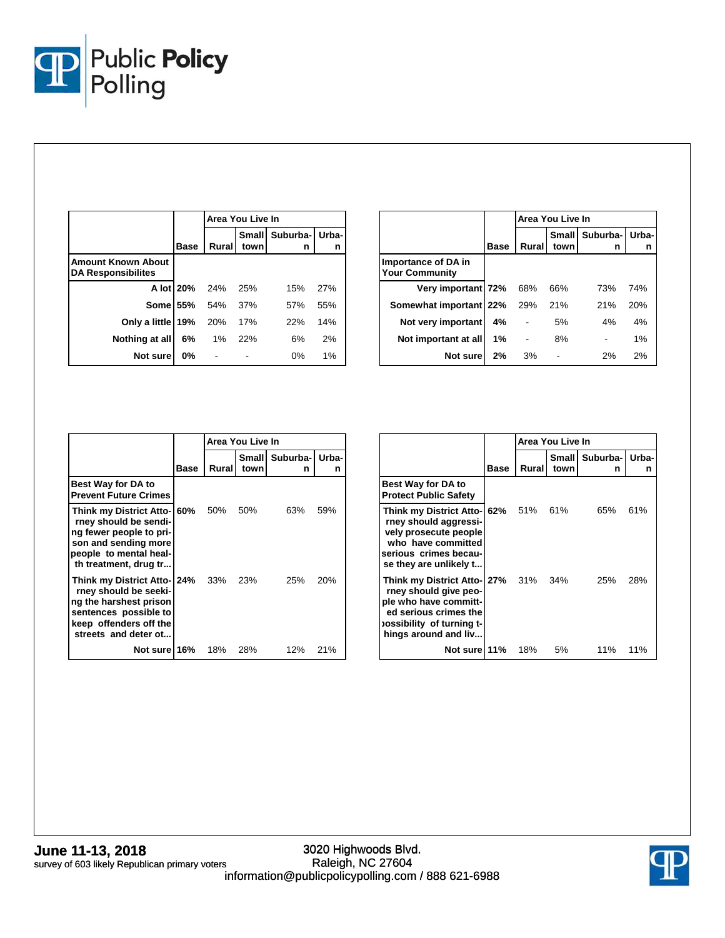

|                                                        |             | Area You Live In |                      |                     |     |  |
|--------------------------------------------------------|-------------|------------------|----------------------|---------------------|-----|--|
|                                                        | <b>Base</b> | Rural            | <b>Small</b><br>town | Suburba- Urba-<br>n | n   |  |
| <b>Amount Known About</b><br><b>DA Responsibilites</b> |             |                  |                      |                     |     |  |
|                                                        | A lot 20%   | 24%              | 25%                  | 15%                 | 27% |  |
| <b>Some 55%</b>                                        |             | 54%              | 37%                  | 57%                 | 55% |  |
| Only a little 19%                                      |             | 20%              | 17%                  | <b>22%</b>          | 14% |  |
| Nothing at all                                         | 6%          | 1%               | 22%                  | 6%                  | 2%  |  |
| Not sure                                               | 0%          |                  |                      | 0%                  | 1%  |  |

|                                              |             | Area You Live In |               |               |            |  |
|----------------------------------------------|-------------|------------------|---------------|---------------|------------|--|
|                                              | <b>Base</b> | Rural            | Small<br>town | Suburba-<br>n | Urba-<br>n |  |
| Importance of DA in<br><b>Your Community</b> |             |                  |               |               |            |  |
| Very important 72%                           |             | 68%              | 66%           | 73%           | 74%        |  |
| Somewhat important 22%                       |             | 29%              | 21%           | 21%           | 20%        |  |
| Not very important                           | 4%          |                  | 5%            | 4%            | 4%         |  |
| Not important at all                         | 1%          |                  | 8%            |               | 1%         |  |
| Not sure                                     | 2%          | 3%               |               | 2%            | 2%         |  |

|                                                                                                                                                            |      | Area You Live In |      |                             |     |
|------------------------------------------------------------------------------------------------------------------------------------------------------------|------|------------------|------|-----------------------------|-----|
|                                                                                                                                                            | Base | Rural            | town | Small I Suburba- Urba-<br>n | n   |
| <b>Best Way for DA to</b><br><b>Prevent Future Crimes</b>                                                                                                  |      |                  |      |                             |     |
| Think my District Atto- 60%<br>rney should be sendi-<br>ng fewer people to pri-<br>son and sending more<br>people to mental heal-<br>th treatment, drug tr |      | 50%              | 50%  | 63%                         | 59% |
| Think my District Atto- 24%<br>rney should be seeki-<br>ng the harshest prison<br>sentences possible to<br>keep offenders off the<br>streets and deter ot  |      | 33%              | 23%  | 25%                         | 20% |
| Not sure 16%                                                                                                                                               |      | 18%              | 28%  | 12%                         | 21% |

|                                                                                                                                                                    |      | Area You Live In |      |                           |     |
|--------------------------------------------------------------------------------------------------------------------------------------------------------------------|------|------------------|------|---------------------------|-----|
|                                                                                                                                                                    | Base | Rural            | town | Small Suburba- Urba-<br>n | n   |
| <b>Best Way for DA to</b><br><b>Protect Public Safety</b>                                                                                                          |      |                  |      |                           |     |
| Think my District Atto- 62%<br>rney should aggressi-<br>vely prosecute people<br>who have committed<br>serious crimes becau-<br>se they are unlikely t             |      | 51%              | 61%  | 65%                       | 61% |
| Think my District Atto- 27% 31% 34%<br>rney should give peo-<br>ple who have committ-<br>ed serious crimes the<br>ossibility of turning t-<br>hings around and liv |      |                  |      | 25%                       | 28% |
| Not sure 11%                                                                                                                                                       |      | 18%              | 5%   | 11%                       | 11% |

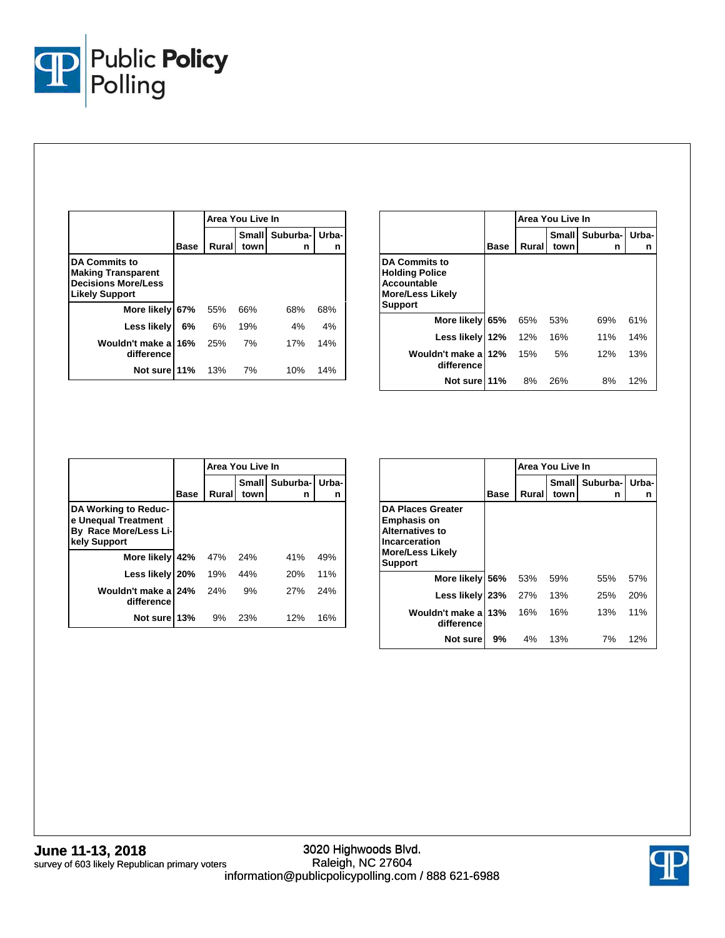

|                                                                                                          |             | Area You Live In |                      |               |            |  |
|----------------------------------------------------------------------------------------------------------|-------------|------------------|----------------------|---------------|------------|--|
|                                                                                                          | <b>Base</b> | Rural            | <b>Small</b><br>town | Suburba-<br>n | Urba-<br>n |  |
| <b>DA Commits to</b><br><b>Making Transparent</b><br><b>Decisions More/Less</b><br><b>Likely Support</b> |             |                  |                      |               |            |  |
| More likely 67%                                                                                          |             | 55%              | 66%                  | 68%           | 68%        |  |
| Less likely                                                                                              | 6%          | 6%               | 19%                  | 4%            | 4%         |  |
| Wouldn't make a<br>difference                                                                            | 16%         | 25%              | 7%                   | 17%           | 14%        |  |
| Not sure 11%                                                                                             |             | 13%              | 7%                   | 10%           | 14%        |  |

|                                                                                                           |      | Area You Live In |               |               |            |  |
|-----------------------------------------------------------------------------------------------------------|------|------------------|---------------|---------------|------------|--|
|                                                                                                           | Base | Rural            | Small<br>town | Suburba-<br>n | Urba-<br>n |  |
| <b>DA Commits to</b><br><b>Holding Police</b><br>Accountable<br><b>More/Less Likely</b><br><b>Support</b> |      |                  |               |               |            |  |
| More likely                                                                                               | 65%  | 65%              | 53%           | 69%           | 61%        |  |
| Less likely 12%                                                                                           |      | 12%              | 16%           | 11%           | 14%        |  |
| Wouldn't make a<br>difference                                                                             | 12%  | 15%              | 5%            | 12%           | 13%        |  |
| Not sure 11%                                                                                              |      | 8%               | 26%           | 8%            | 12%        |  |

|                                                                                      |             |       | Area You Live In |                     |     |
|--------------------------------------------------------------------------------------|-------------|-------|------------------|---------------------|-----|
|                                                                                      | <b>Base</b> | Rural | Small<br>town    | Suburba- Urba-<br>n | n   |
| DA Working to Reduc-<br>e Unequal Treatment<br>By Race More/Less Li-<br>kely Support |             |       |                  |                     |     |
| More likely 42%                                                                      |             | 47%   | 24%              | 41%                 | 49% |
| Less likely 20%                                                                      |             | 19%   | 44%              | <b>20%</b>          | 11% |
| Wouldn't make al<br>difference                                                       | 24%         | 24%   | 9%               | 27%                 | 24% |
| Not sure 13%                                                                         |             | 9%    | 23%              | 12%                 | 16% |

|                                                                                                                                        |             |       | Area You Live In |               |            |
|----------------------------------------------------------------------------------------------------------------------------------------|-------------|-------|------------------|---------------|------------|
|                                                                                                                                        | <b>Base</b> | Rural | Small<br>town    | Suburba-<br>n | Urba-<br>n |
| <b>DA Places Greater</b><br><b>Emphasis on</b><br><b>Alternatives to</b><br>Incarceration<br><b>More/Less Likely</b><br><b>Support</b> |             |       |                  |               |            |
| More likely                                                                                                                            | 56%         | 53%   | 59%              | 55%           | 57%        |
| Less likely                                                                                                                            | 23%         | 27%   | 13%              | 25%           | 20%        |
| Wouldn't make a<br>difference                                                                                                          | 13%         | 16%   | 16%              | 13%           | 11%        |
| Not sure                                                                                                                               | 9%          | 4%    | 13%              | 7%            | 12%        |

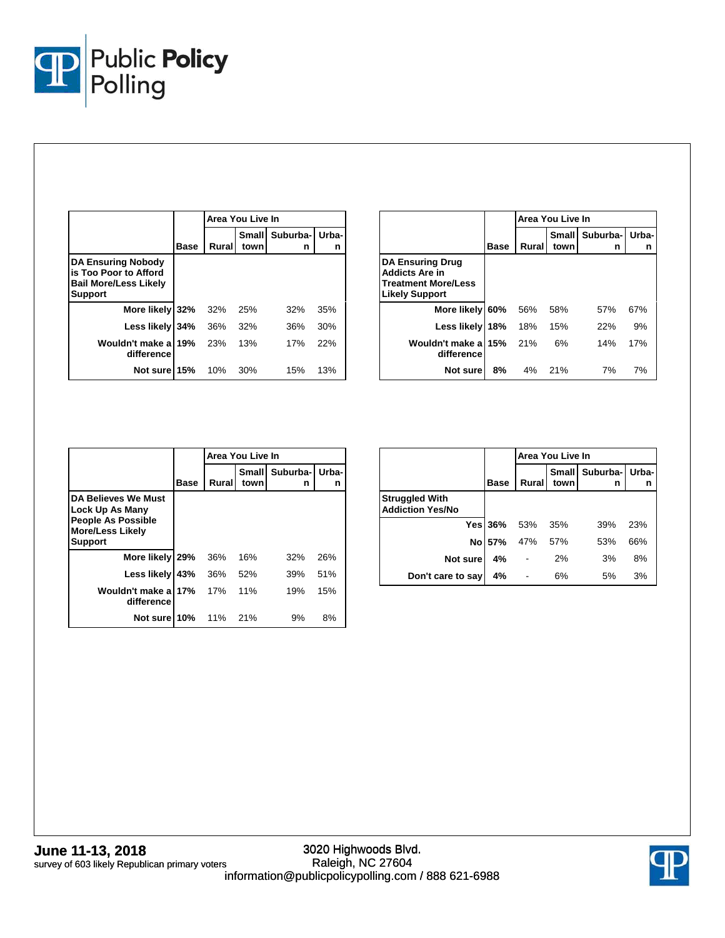

|                                                                                                      |             |       | Area You Live In     |               |            |
|------------------------------------------------------------------------------------------------------|-------------|-------|----------------------|---------------|------------|
|                                                                                                      | <b>Base</b> | Rural | <b>Small</b><br>town | Suburba-<br>n | Urba-<br>n |
| <b>DA Ensuring Nobody</b><br>is Too Poor to Afford<br><b>Bail More/Less Likely</b><br><b>Support</b> |             |       |                      |               |            |
| More likely 32%                                                                                      |             | 32%   | 25%                  | 32%           | 35%        |
| Less likely 34%                                                                                      |             | 36%   | 32%                  | 36%           | 30%        |
| Wouldn't make a<br>difference                                                                        | 19%         | 23%   | 13%                  | 17%           | 22%        |
| Not sure 15%                                                                                         |             | 10%   | 30%                  | 15%           | 13%        |

|                                                                                                         |      | Area You Live In |      |                               |     |  |  |  |
|---------------------------------------------------------------------------------------------------------|------|------------------|------|-------------------------------|-----|--|--|--|
|                                                                                                         | Base | Rural            | town | Small   Suburba-   Urba-<br>n | n   |  |  |  |
| <b>DA Ensuring Drug</b><br><b>Addicts Are in</b><br><b>Treatment More/Less</b><br><b>Likely Support</b> |      |                  |      |                               |     |  |  |  |
| More likely 60%                                                                                         |      | 56%              | 58%  | 57%                           | 67% |  |  |  |
| Less likely 18%                                                                                         |      | 18%              | 15%  | 22%                           | 9%  |  |  |  |
| Wouldn't make a 15%<br>difference                                                                       |      | 21%              | 6%   | 14%                           | 17% |  |  |  |
| Not sure                                                                                                | 8%   | 4%               | 21%  | 7%                            | 7%  |  |  |  |

|                                                                                                                  |      | Area You Live In |                      |               |            |  |  |
|------------------------------------------------------------------------------------------------------------------|------|------------------|----------------------|---------------|------------|--|--|
|                                                                                                                  | Base | Rural            | <b>Small</b><br>town | Suburba-<br>n | Urba-<br>n |  |  |
| DA Believes We Must<br>Lock Up As Many<br><b>People As Possible</b><br><b>More/Less Likely</b><br><b>Support</b> |      |                  |                      |               |            |  |  |
| More likely 29%                                                                                                  |      | 36%              | 16%                  | 32%           | 26%        |  |  |
| <b>Less likely</b>                                                                                               | 43%  | 36%              | 52%                  | 39%           | 51%        |  |  |
| Wouldn't make a<br>difference                                                                                    | 17%  | 17%              | 11%                  | 19%           | 15%        |  |  |
| Not sure 10%                                                                                                     |      | 11%              | 21%                  | 9%            | 8%         |  |  |

|                                                  |                | Area You Live In |               |               |            |  |  |  |
|--------------------------------------------------|----------------|------------------|---------------|---------------|------------|--|--|--|
|                                                  | <b>Base</b>    | Rural            | Small<br>town | Suburba-<br>n | Urba-<br>n |  |  |  |
| <b>Struggled With</b><br><b>Addiction Yes/No</b> |                |                  |               |               |            |  |  |  |
|                                                  | <b>Yes 36%</b> | 53%              | 35%           | 39%           | 23%        |  |  |  |
|                                                  | No 57%         | 47%              | 57%           | 53%           | 66%        |  |  |  |
| Not sure                                         | 4%             |                  | 2%            | 3%            | 8%         |  |  |  |
| Don't care to say                                | 4%             |                  | 6%            | 5%            | 3%         |  |  |  |

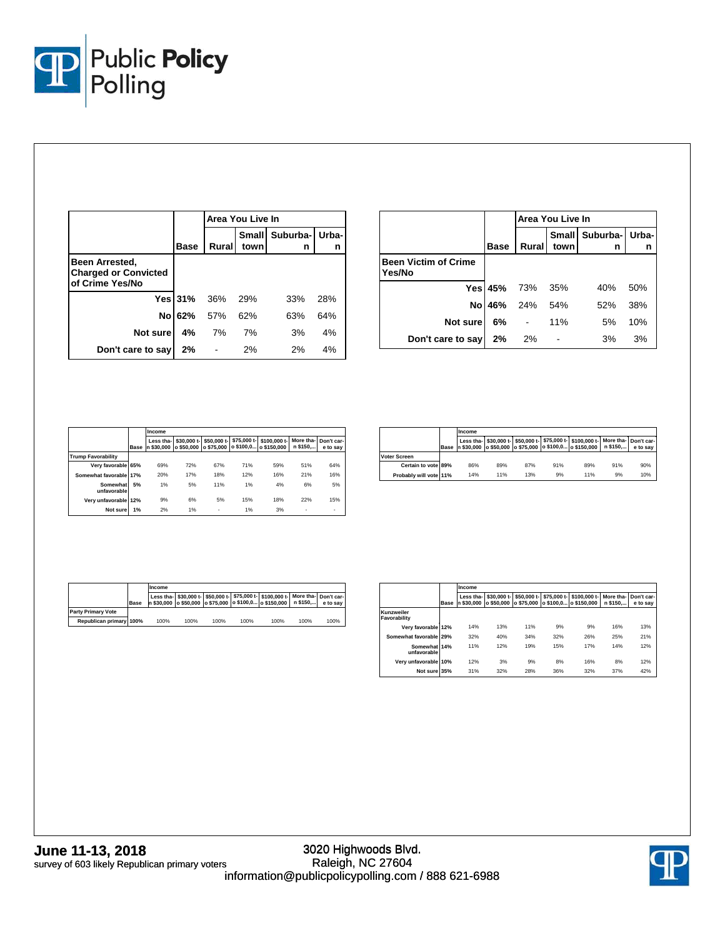

|                                                                  |                | Area You Live In |                      |                     |     |  |  |
|------------------------------------------------------------------|----------------|------------------|----------------------|---------------------|-----|--|--|
|                                                                  | <b>Base</b>    | Rural            | <b>Small</b><br>town | Suburba- Urba-<br>n | n   |  |  |
| Been Arrested,<br><b>Charged or Convicted</b><br>of Crime Yes/No |                |                  |                      |                     |     |  |  |
|                                                                  | <b>Yes 31%</b> | - 36%            | 29%                  | 33%                 | 28% |  |  |
|                                                                  | No 62%         | 57%              | 62%                  | 63%                 | 64% |  |  |
| Not sure                                                         | 4%             | 7%               | 7%                   | 3%                  | 4%  |  |  |
| Don't care to say                                                | 2%             |                  | 2%                   | 2%                  | 4%  |  |  |

|                                       |                | Area You Live In |                      |               |             |  |  |
|---------------------------------------|----------------|------------------|----------------------|---------------|-------------|--|--|
|                                       | <b>Base</b>    | Rural            | <b>Small</b><br>town | Suburba-<br>n | Urba-l<br>n |  |  |
| <b>Been Victim of Crime</b><br>Yes/No |                |                  |                      |               |             |  |  |
|                                       | <b>Yes 45%</b> | 73%              | - 35%                | 40%           | 50%         |  |  |
| No                                    | 46%            | 24%              | 54%                  | 52%           | 38%         |  |  |
| Not sure                              | 6%             |                  | 11%                  | 5%            | 10%         |  |  |
| Don't care to say                     | 2%             | 2%               |                      | 3%            | 3%          |  |  |

|                           |             | Income                  |                           |                           |             |                                       |                       |                        |  |
|---------------------------|-------------|-------------------------|---------------------------|---------------------------|-------------|---------------------------------------|-----------------------|------------------------|--|
|                           | <b>Base</b> | Less tha-<br>n \$30,000 | \$30,000 t-<br>o \$50.000 | \$50,000 t-<br>o \$75,000 | \$75,000 t- | \$100,000 t-<br>o \$100,0 o \$150,000 | More tha-<br>n \$150, | Don't car-<br>e to sav |  |
| <b>Trump Favorability</b> |             |                         |                           |                           |             |                                       |                       |                        |  |
| Verv favorable            | 65%         | 69%                     | 72%                       | 67%                       | 71%         | 59%                                   | 51%                   | 64%                    |  |
| Somewhat favorable        | 17%         | 20%                     | 17%                       | 18%                       | 12%         | 16%                                   | 21%                   | 16%                    |  |
| Somewhat<br>unfavorable   | 5%          | 1%                      | 5%                        | 11%                       | 1%          | 4%                                    | 6%                    | 5%                     |  |
| Verv unfavorable          | 12%         | 9%                      | 6%                        | 5%                        | 15%         | 18%                                   | 22%                   | 15%                    |  |
| Not sure                  | 1%          | 2%                      | 1%                        | ٠                         | 1%          | 3%                                    | ۰                     | ٠                      |  |

|                        |             | Income |     |     |     |                                                                                                                                                              |     |          |
|------------------------|-------------|--------|-----|-----|-----|--------------------------------------------------------------------------------------------------------------------------------------------------------------|-----|----------|
|                        | <b>Base</b> |        |     |     |     | Less tha- \$30,000 t- \$50,000 t- \$75,000 t- \$100,000 t- More tha- Don't car-<br>n \$30,000   o \$50,000   o \$75,000   o \$100,0   o \$150,000   n \$150, |     | e to sav |
| <b>Voter Screen</b>    |             |        |     |     |     |                                                                                                                                                              |     |          |
| Certain to vote 89%    |             | 86%    | 89% | 87% | 91% | 89%                                                                                                                                                          | 91% | 90%      |
| Probably will vote 11% |             | 14%    | 11% | 13% | 9%  | 11%                                                                                                                                                          | 9%  | 10%      |

|                           |             | Income |      |      |      |                                                                                                                                                    |      |          |
|---------------------------|-------------|--------|------|------|------|----------------------------------------------------------------------------------------------------------------------------------------------------|------|----------|
|                           | <b>Base</b> |        |      |      |      | Less tha- \$30,000 t- \$50,000 t- \$75,000 t- \$100,000 t- More tha- Don't car-<br>n \$30,000 o \$50,000 o \$75,000 o \$100,0 o \$150,000 n \$150, |      | e to sav |
| <b>Party Primary Vote</b> |             |        |      |      |      |                                                                                                                                                    |      |          |
| Republican primary 100%   |             | 100%   | 100% | 100% | 100% | 100%                                                                                                                                               | 100% | 100%     |

|                             |      | Income                  |                           |                           |     |                                                   |                      |                        |  |  |
|-----------------------------|------|-------------------------|---------------------------|---------------------------|-----|---------------------------------------------------|----------------------|------------------------|--|--|
|                             | Base | Less tha-<br>n \$30.000 | \$30,000 t-<br>o \$50.000 | \$50,000 t-<br>o \$75,000 |     | \$75,000 t- \$100,000 t-<br>o \$100,0 o \$150,000 | More tha-<br>n \$150 | Don't car-<br>e to sav |  |  |
| Kunzweiler<br>Favorability  |      |                         |                           |                           |     |                                                   |                      |                        |  |  |
| Very favorable 12%          |      | 14%                     | 13%                       | 11%                       | 9%  | 9%                                                | 16%                  | 13%                    |  |  |
| Somewhat favorable 29%      |      | 32%                     | 40%                       | 34%                       | 32% | 26%                                               | 25%                  | 21%                    |  |  |
| Somewhat 14%<br>unfavorable |      | 11%                     | 12%                       | 19%                       | 15% | 17%                                               | 14%                  | 12%                    |  |  |
| Very unfavorable 10%        |      | 12%                     | 3%                        | 9%                        | 8%  | 16%                                               | 8%                   | 12%                    |  |  |
| Not sure 35%                |      | 31%                     | 32%                       | 28%                       | 36% | 32%                                               | 37%                  | 42%                    |  |  |

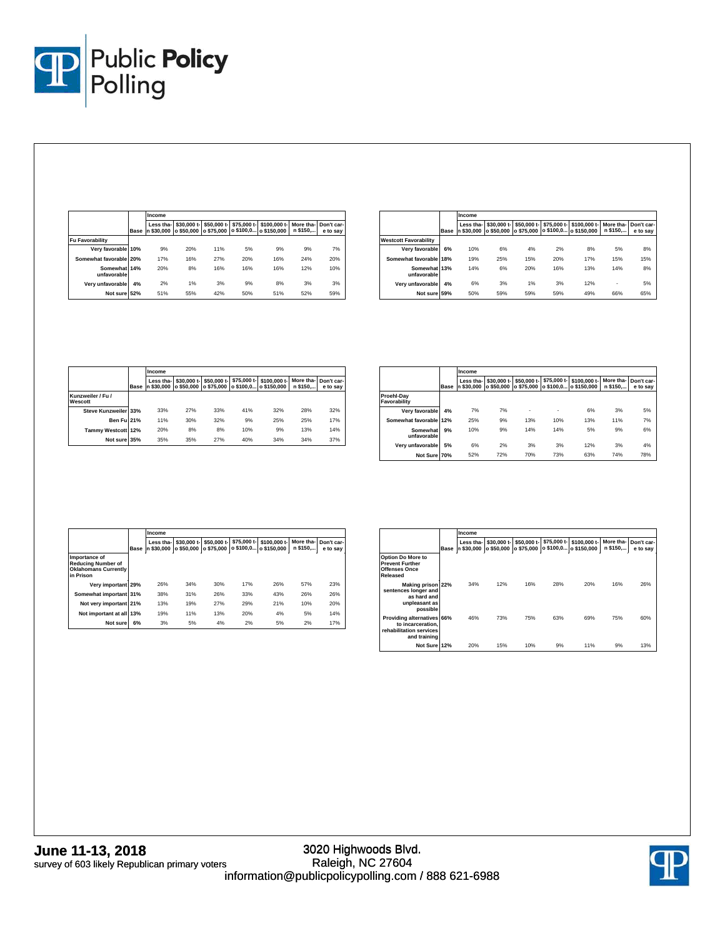

|                             |             | Income                  |                           |                           |                          |                             |                      |                        |
|-----------------------------|-------------|-------------------------|---------------------------|---------------------------|--------------------------|-----------------------------|----------------------|------------------------|
|                             | <b>Base</b> | Less tha-<br>n \$30.000 | \$30,000 t-<br>o \$50,000 | \$50,000 t-<br>o \$75.000 | \$75,000 t-<br>o \$100.0 | \$100,000 t-<br>o \$150,000 | More tha-<br>n \$150 | Don't car-<br>e to sav |
| <b>Fu Favorability</b>      |             |                         |                           |                           |                          |                             |                      |                        |
| Very favorable 10%          |             | 9%                      | 20%                       | 11%                       | 5%                       | 9%                          | 9%                   | 7%                     |
| Somewhat favorable 20%      |             | 17%                     | 16%                       | 27%                       | 20%                      | 16%                         | 24%                  | 20%                    |
| Somewhat 14%<br>unfavorable |             | 20%                     | 8%                        | 16%                       | 16%                      | 16%                         | 12%                  | 10%                    |
| Verv unfavorable            | 4%          | 2%                      | 1%                        | 3%                        | 9%                       | 8%                          | 3%                   | 3%                     |
| Not sure 52%                |             | 51%                     | 55%                       | 42%                       | 50%                      | 51%                         | 52%                  | 59%                    |

|                              |             | Income                |                           |                           |     |                                                   |                      |                        |
|------------------------------|-------------|-----------------------|---------------------------|---------------------------|-----|---------------------------------------------------|----------------------|------------------------|
|                              | <b>Base</b> | Less tha-<br>\$30,000 | \$30,000 t-<br>o \$50,000 | \$50,000 t-<br>o \$75.000 |     | \$75,000 t- \$100,000 t-<br>o \$100,0 o \$150,000 | More tha-<br>n \$150 | Don't car-<br>e to say |
| <b>Westcott Favorability</b> |             |                       |                           |                           |     |                                                   |                      |                        |
| Very favorable               | 6%          | 10%                   | 6%                        | 4%                        | 2%  | 8%                                                | 5%                   | 8%                     |
| Somewhat favorable 18%       |             | 19%                   | 25%                       | 15%                       | 20% | 17%                                               | 15%                  | 15%                    |
| Somewhat 13%<br>unfavorable  |             | 14%                   | 6%                        | 20%                       | 16% | 13%                                               | 14%                  | 8%                     |
| Very unfavorable             | 4%          | 6%                    | 3%                        | 1%                        | 3%  | 12%                                               |                      | 5%                     |
| Not sure 59%                 |             | 50%                   | 59%                       | 59%                       | 59% | 49%                                               | 66%                  | 65%                    |

|                              |      | Income                  |                                      |             |     |                                                   |                      |                        |
|------------------------------|------|-------------------------|--------------------------------------|-------------|-----|---------------------------------------------------|----------------------|------------------------|
|                              | Base | Less tha-<br>n \$30.000 | \$30,000 t-<br>o \$50,000 o \$75,000 | \$50,000 t- |     | \$75,000 t- \$100,000 t-<br>o \$100,0 o \$150,000 | More tha-<br>n \$150 | Don't car-<br>e to say |
| Kunzweiler / Fu /<br>Wescott |      |                         |                                      |             |     |                                                   |                      |                        |
| Steve Kunzweiler 33%         |      | 33%                     | 27%                                  | 33%         | 41% | 32%                                               | 28%                  | 32%                    |
| <b>Ben Ful 21%</b>           |      | 11%                     | 30%                                  | 32%         | 9%  | 25%                                               | 25%                  | 17%                    |
| Tammy Westcott 12%           |      | 20%                     | 8%                                   | 8%          | 10% | 9%                                                | 13%                  | 14%                    |
| Not sure 35%                 |      | 35%                     | 35%                                  | 27%         | 40% | 34%                                               | 34%                  | 37%                    |

|                            |      | Income                |                           |                           |             |                                       |                       |                        |
|----------------------------|------|-----------------------|---------------------------|---------------------------|-------------|---------------------------------------|-----------------------|------------------------|
|                            | Base | Less tha-<br>\$30,000 | \$30,000 t-<br>o \$50,000 | \$50,000 t-<br>o \$75.000 | \$75,000 t- | \$100,000 t-<br>o \$100,0 o \$150,000 | More tha-<br>n \$150, | Don't car-<br>e to sav |
| Proehl-Dav<br>Favorability |      |                       |                           |                           |             |                                       |                       |                        |
| Very favorable             | 4%   | 7%                    | 7%                        | ٠                         | ٠           | 6%                                    | 3%                    | 5%                     |
| Somewhat favorable         | 12%  | 25%                   | 9%                        | 13%                       | 10%         | 13%                                   | 11%                   | 7%                     |
| Somewhat<br>unfavorable    | 9%   | 10%                   | 9%                        | 14%                       | 14%         | 5%                                    | 9%                    | 6%                     |
| Very unfavorable           | 5%   | 6%                    | 2%                        | 3%                        | 3%          | 12%                                   | 3%                    | 4%                     |
| Not Sure 70%               |      | 52%                   | 72%                       | 70%                       | 73%         | 63%                                   | 74%                   | 78%                    |

|                                                                                        |             | Income                  |                           |                           |     |                                                   |                      |                        |
|----------------------------------------------------------------------------------------|-------------|-------------------------|---------------------------|---------------------------|-----|---------------------------------------------------|----------------------|------------------------|
|                                                                                        | <b>Base</b> | Less tha-<br>n \$30,000 | \$30,000 t-<br>o \$50,000 | \$50.000 t-<br>o \$75.000 |     | \$75,000 t- \$100,000 t-<br>o \$100,0 o \$150,000 | More tha-<br>n \$150 | Don't car-<br>e to sav |
| Importance of<br><b>Reducing Number of</b><br><b>Oklahomans Currently</b><br>in Prison |             |                         |                           |                           |     |                                                   |                      |                        |
| Very important 29%                                                                     |             | 26%                     | 34%                       | 30%                       | 17% | 26%                                               | 57%                  | 23%                    |
| Somewhat important 31%                                                                 |             | 38%                     | 31%                       | 26%                       | 33% | 43%                                               | 26%                  | 26%                    |
| Not very important 21%                                                                 |             | 13%                     | 19%                       | 27%                       | 29% | 21%                                               | 10%                  | 20%                    |
| Not important at all 13%                                                               |             | 19%                     | 11%                       | 13%                       | 20% | 4%                                                | 5%                   | 14%                    |
| Not sure                                                                               | 6%          | 3%                      | 5%                        | 4%                        | 2%  | 5%                                                | 2%                   | 17%                    |

|                                                                                            |      | Income                  |                           |                           |                          |                             |                       |                        |
|--------------------------------------------------------------------------------------------|------|-------------------------|---------------------------|---------------------------|--------------------------|-----------------------------|-----------------------|------------------------|
|                                                                                            | Base | Less tha-<br>n \$30,000 | \$30.000 t-<br>o \$50.000 | \$50,000 t-<br>o \$75.000 | \$75,000 t-<br>o \$100,0 | \$100,000 t-<br>o \$150,000 | More tha-<br>n \$150, | Don't car-<br>e to sav |
| <b>Option Do More to</b><br><b>Prevent Further</b><br><b>Offenses Once</b><br>Released     |      |                         |                           |                           |                          |                             |                       |                        |
| Making prison 22%<br>sentences longer and<br>as hard and<br>unpleasant as<br>possible      |      | 34%                     | 12%                       | 16%                       | 28%                      | 20%                         | 16%                   | 26%                    |
| Providing alternatives 66%<br>to incarceration.<br>rehabilitation services<br>and training |      | 46%                     | 73%                       | 75%                       | 63%                      | 69%                         | 75%                   | 60%                    |
| Not Sure 12%                                                                               |      | 20%                     | 15%                       | 10%                       | 9%                       | 11%                         | 9%                    | 13%                    |

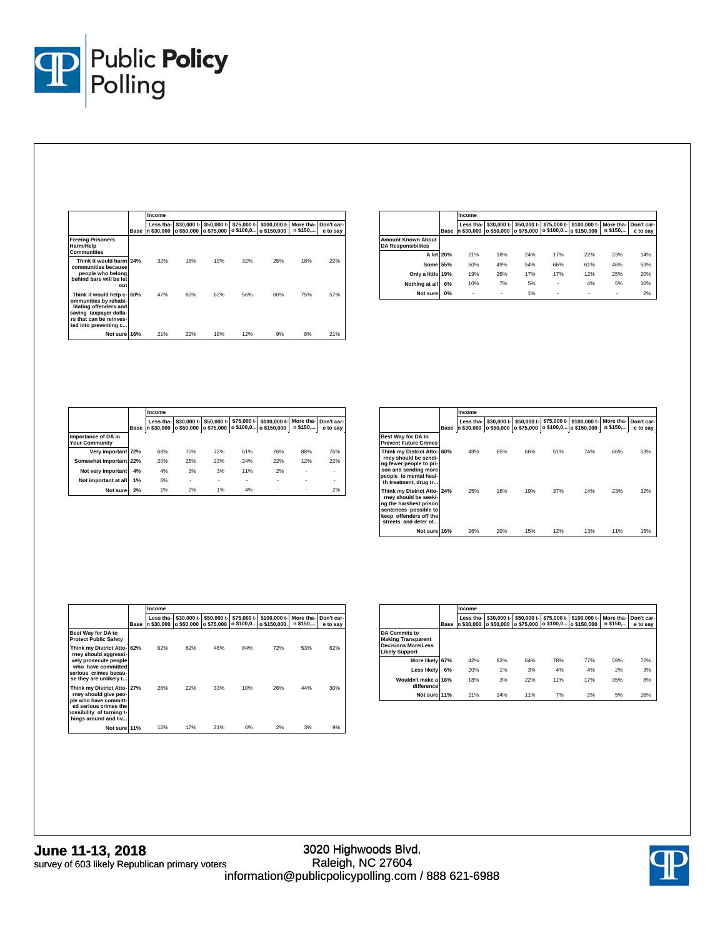

|                                                                                                                                                             |             | Income                  |                           |                           |                          |                             |                      |                        |
|-------------------------------------------------------------------------------------------------------------------------------------------------------------|-------------|-------------------------|---------------------------|---------------------------|--------------------------|-----------------------------|----------------------|------------------------|
|                                                                                                                                                             | <b>Base</b> | Less tha-<br>n \$30,000 | \$30.000 t-<br>o \$50,000 | \$50,000 t-<br>o \$75,000 | \$75,000 t-<br>o \$100,0 | \$100,000 t-<br>o \$150,000 | More tha-<br>n \$150 | Don't car-<br>e to say |
| <b>Freeing Prisoners</b><br>Harm/Help<br>Communities                                                                                                        |             |                         |                           |                           |                          |                             |                      |                        |
| Think it would harm 24%<br>communities because<br>people who belong<br>behind bars will be let<br>out                                                       |             | 32%                     | 18%                       | 19%                       | 32%                      | 25%                         | 18%                  | 22%                    |
| Think it would help c- 60%<br>ommunities by rehabi-<br>litating offenders and<br>saving taxpayer dolla-<br>rs that can be reinves-<br>ted into preventing c |             | 47%                     | 60%                       | 62%                       | 56%                      | 66%                         | 75%                  | 57%                    |
| Not sure 16%                                                                                                                                                |             | 21%                     | 22%                       | 18%                       | 12%                      | 9%                          | 8%                   | 21%                    |

|                                                        |      | Income                |                           |             |     |                                                                 |                       |                        |  |
|--------------------------------------------------------|------|-----------------------|---------------------------|-------------|-----|-----------------------------------------------------------------|-----------------------|------------------------|--|
|                                                        | Base | Less tha-<br>\$30,000 | \$30,000 t-<br>o \$50,000 | \$50,000 t- |     | \$75,000 t- \$100,000 t-<br>lo \$75,000 to \$100.0 to \$150,000 | More tha-<br>n \$150, | Don't car-<br>e to sav |  |
| <b>Amount Known About</b><br><b>DA Responsibilites</b> |      |                       |                           |             |     |                                                                 |                       |                        |  |
| A lot 20%                                              |      | 21%                   | 18%                       | 24%         | 17% | 22%                                                             | 23%                   | 14%                    |  |
| Some 55%                                               |      | 50%                   | 49%                       | 54%         | 66% | 61%                                                             | 46%                   | 53%                    |  |
| Only a little 19%                                      |      | 19%                   | 26%                       | 17%         | 17% | 12%                                                             | 25%                   | 20%                    |  |
| Nothing at all                                         | 6%   | 10%                   | 7%                        | 5%          | ٠   | 4%                                                              | 5%                    | 10%                    |  |
| Not sure                                               | 0%   | ٠                     | ۰                         | 1%          | ٠   | ٠                                                               | ٠                     | 2%                     |  |

|                                              |             | Income                  |                           |                           |     |                                                     |                      |                        |
|----------------------------------------------|-------------|-------------------------|---------------------------|---------------------------|-----|-----------------------------------------------------|----------------------|------------------------|
|                                              | <b>Base</b> | Less tha-<br>n \$30.000 | \$30,000 t-<br>o \$50,000 | \$50,000 t-<br>o \$75.000 |     | \$75,000 t-1 \$100,000 t-1<br>o \$100,0 o \$150,000 | More tha-<br>n \$150 | Don't car-<br>e to say |
| Importance of DA in<br><b>Your Community</b> |             |                         |                           |                           |     |                                                     |                      |                        |
| Verv important 72%                           |             | 68%                     | 70%                       | 72%                       | 61% | 76%                                                 | 88%                  | 76%                    |
| Somewhat important 22%                       |             | 20%                     | 25%                       | 23%                       | 24% | 22%                                                 | 12%                  | 22%                    |
| Not very important                           | 4%          | 4%                      | 3%                        | 3%                        | 11% | 2%                                                  | ۰.                   | ٠                      |
| Not important at all                         | 1%          | 6%                      | ۰                         | ۰                         | ٠   | ٠                                                   | ٠                    | ٠                      |
| Not sure                                     | 2%          | 1%                      | 2%                        | 1%                        | 4%  | ٠                                                   | ٠                    | 2%                     |

|                                                                                                                                                            |             | Income                  |                           |                           |             |                                       |                       |                        |
|------------------------------------------------------------------------------------------------------------------------------------------------------------|-------------|-------------------------|---------------------------|---------------------------|-------------|---------------------------------------|-----------------------|------------------------|
|                                                                                                                                                            | <b>Base</b> | Less tha-<br>n \$30.000 | \$30,000 t-<br>o \$50.000 | \$50,000 t-<br>o \$75.000 | \$75,000 t- | \$100,000 t-<br>o \$100,0 o \$150,000 | More tha-<br>n \$150, | Don't car-<br>e to say |
| Best Way for DA to<br><b>Prevent Future Crimes</b>                                                                                                         |             |                         |                           |                           |             |                                       |                       |                        |
| Think my District Atto-160%<br>rney should be sendi-<br>ng fewer people to pri-<br>son and sending more<br>people to mental heal-<br>th treatment, drug tr |             | 49%                     | 65%                       | 66%                       | 51%         | 74%                                   | 66%                   | 53%                    |
| Think my District Atto- 24%<br>rnev should be seeki-<br>ng the harshest prison<br>sentences possible to<br>keep offenders off the<br>streets and deter ot  |             | 25%                     | 16%                       | 19%                       | 37%         | 14%                                   | 23%                   | 32%                    |
| Not sure 16%                                                                                                                                               |             | 26%                     | 20%                       | 15%                       | 12%         | 13%                                   | 11%                   | 15%                    |

|                                                                                                                                                            |             | Income                  |                           |                           |                          |                             |                       |                        |
|------------------------------------------------------------------------------------------------------------------------------------------------------------|-------------|-------------------------|---------------------------|---------------------------|--------------------------|-----------------------------|-----------------------|------------------------|
|                                                                                                                                                            | <b>Base</b> | Less tha-<br>n \$30.000 | \$30,000 t-<br>o \$50.000 | \$50,000 t-<br>o \$75.000 | \$75,000 t-<br>o \$100,0 | \$100,000 t-<br>o \$150,000 | More tha-<br>n \$150, | Don't car-<br>e to sav |
| Best Way for DA to<br><b>Protect Public Safety</b>                                                                                                         |             |                         |                           |                           |                          |                             |                       |                        |
| Think my District Atto- 62%<br>rney should aggressi-<br>vely prosecute people<br>who have committed<br>serious crimes becau-<br>se they are unlikely t     |             | 62%                     | 62%                       | 46%                       | 84%                      | 72%                         | 53%                   | 62%                    |
| Think my District Atto- 27%<br>rney should give peo-<br>ple who have committ-<br>ed serious crimes the<br>ossibility of turning t-<br>hings around and liv |             | 26%                     | 22%                       | 33%                       | 10%                      | 26%                         | 44%                   | 30%                    |
| Not sure 11%                                                                                                                                               |             | 12%                     | 17%                       | 21%                       | 6%                       | 2%                          | 3%                    | 9%                     |

|                                                                                                          |             | Income                  |                           |            |     |                                                               |                       |                        |
|----------------------------------------------------------------------------------------------------------|-------------|-------------------------|---------------------------|------------|-----|---------------------------------------------------------------|-----------------------|------------------------|
|                                                                                                          | <b>Base</b> | Less tha-<br>n \$30.000 | \$30,000 t-<br>o \$50.000 | o \$75.000 |     | \$50,000 t- \$75,000 t- \$100,000 t-<br>o \$100,0 o \$150,000 | More tha-<br>n \$150, | Don't car-<br>e to sav |
| <b>DA Commits to</b><br><b>Making Transparent</b><br><b>Decisions More/Less</b><br><b>Likely Support</b> |             |                         |                           |            |     |                                                               |                       |                        |
| More likely 67%                                                                                          |             | 42%                     | 82%                       | 64%        | 78% | 77%                                                           | 59%                   | 72%                    |
| Less likely                                                                                              | 6%          | 20%                     | 1%                        | 3%         | 4%  | 4%                                                            | 2%                    | 3%                     |
| Wouldn't make a 16%<br>difference                                                                        |             | 18%                     | 3%                        | 22%        | 11% | 17%                                                           | 35%                   | 8%                     |
| Not sure 11%                                                                                             |             | 21%                     | 14%                       | 11%        | 7%  | 2%                                                            | 5%                    | 16%                    |

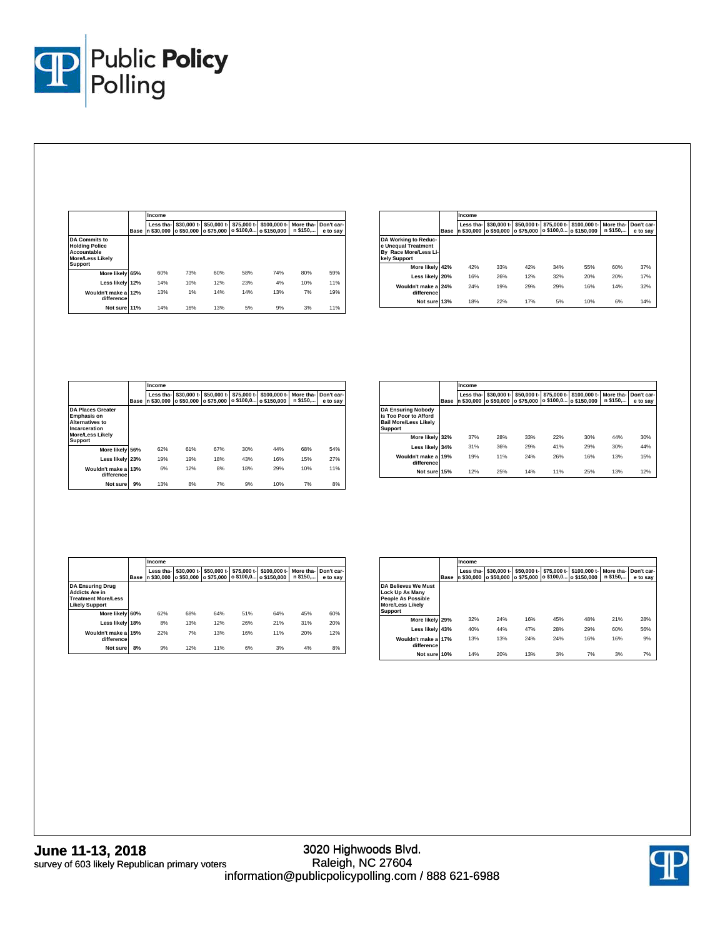

|                                                                                                    |             | Income                  |                           |                           |             |                                       |                       |                        |  |
|----------------------------------------------------------------------------------------------------|-------------|-------------------------|---------------------------|---------------------------|-------------|---------------------------------------|-----------------------|------------------------|--|
|                                                                                                    | <b>Base</b> | Less tha-<br>n \$30,000 | \$30,000 t-<br>o \$50,000 | \$50,000 t-<br>o \$75.000 | \$75,000 t- | \$100,000 t-<br>o \$100.0 o \$150.000 | More tha-<br>n \$150, | Don't car-<br>e to say |  |
| <b>DA Commits to</b><br><b>Holding Police</b><br>Accountable<br><b>More/Less Likely</b><br>Support |             |                         |                           |                           |             |                                       |                       |                        |  |
| More likely 65%                                                                                    |             | 60%                     | 73%                       | 60%                       | 58%         | 74%                                   | 80%                   | 59%                    |  |
| Less likely 12%                                                                                    |             | 14%                     | 10%                       | 12%                       | 23%         | 4%                                    | 10%                   | 11%                    |  |
| Wouldn't make a 12%<br>difference                                                                  |             | 13%                     | 1%                        | 14%                       | 14%         | 13%                                   | 7%                    | 19%                    |  |
| Not sure 11%                                                                                       |             | 14%                     | 16%                       | 13%                       | 5%          | 9%                                    | 3%                    | 11%                    |  |

|                                                                                      |      | Income                  |                           |                           |             |                                       |                       |                        |
|--------------------------------------------------------------------------------------|------|-------------------------|---------------------------|---------------------------|-------------|---------------------------------------|-----------------------|------------------------|
|                                                                                      | Base | Less tha-<br>n \$30.000 | \$30,000 t-<br>o \$50.000 | \$50,000 t-<br>o \$75.000 | \$75,000 t- | \$100,000 t-<br>o \$100.0 o \$150.000 | More tha-<br>n \$150, | Don't car-<br>e to say |
| DA Working to Reduc-<br>e Unequal Treatment<br>By Race More/Less Li-<br>kely Support |      |                         |                           |                           |             |                                       |                       |                        |
| More likely 42%                                                                      |      | 42%                     | 33%                       | 42%                       | 34%         | 55%                                   | 60%                   | 37%                    |
| Less likely 20%                                                                      |      | 16%                     | 26%                       | 12%                       | 32%         | 20%                                   | 20%                   | 17%                    |
| Wouldn't make a 24%<br>difference                                                    |      | 24%                     | 19%                       | 29%                       | 29%         | 16%                                   | 14%                   | 32%                    |
| Not sure 13%                                                                         |      | 18%                     | 22%                       | 17%                       | 5%          | 10%                                   | 6%                    | 14%                    |

|                                                                                                                                        |             | Income                      |                           |                           |                          |                             |                       |                        |
|----------------------------------------------------------------------------------------------------------------------------------------|-------------|-----------------------------|---------------------------|---------------------------|--------------------------|-----------------------------|-----------------------|------------------------|
|                                                                                                                                        | <b>Base</b> | Less tha-<br>\$30,000<br>'n | \$30,000 t-<br>o \$50,000 | \$50,000 t-<br>o \$75.000 | \$75,000 t-<br>o \$100,0 | \$100,000 t-<br>o \$150,000 | More tha-<br>n \$150, | Don't car-<br>e to sav |
| <b>DA Places Greater</b><br><b>Emphasis on</b><br><b>Alternatives to</b><br>Incarceration<br><b>More/Less Likely</b><br><b>Support</b> |             |                             |                           |                           |                          |                             |                       |                        |
| More likely 56%                                                                                                                        |             | 62%                         | 61%                       | 67%                       | 30%                      | 44%                         | 68%                   | 54%                    |
| Less likely 23%                                                                                                                        |             | 19%                         | 19%                       | 18%                       | 43%                      | 16%                         | 15%                   | 27%                    |
| Wouldn't make a 13%<br>difference                                                                                                      |             | 6%                          | 12%                       | 8%                        | 18%                      | 29%                         | 10%                   | 11%                    |
| Not sure                                                                                                                               | 9%          | 13%                         | 8%                        | 7%                        | 9%                       | 10%                         | 7%                    | 8%                     |

|                                                                                                      |             | Income                      |                           |                           |     |                                                   |                       |                        |
|------------------------------------------------------------------------------------------------------|-------------|-----------------------------|---------------------------|---------------------------|-----|---------------------------------------------------|-----------------------|------------------------|
|                                                                                                      | <b>Base</b> | Less tha-<br>\$30,000<br>In | \$30,000 t-<br>o \$50.000 | \$50,000 t-<br>o \$75.000 |     | \$75,000 t- \$100,000 t-<br>o \$100,0 o \$150,000 | More tha-<br>n \$150, | Don't car-<br>e to sav |
| <b>DA Ensuring Nobody</b><br>is Too Poor to Afford<br><b>Bail More/Less Likelv</b><br><b>Support</b> |             |                             |                           |                           |     |                                                   |                       |                        |
| More likely 32%                                                                                      |             | 37%                         | 28%                       | 33%                       | 22% | 30%                                               | 44%                   | 30%                    |
| Less likely                                                                                          | 34%         | 31%                         | 36%                       | 29%                       | 41% | 29%                                               | 30%                   | 44%                    |
| Wouldn't make a 19%<br>difference                                                                    |             | 19%                         | 11%                       | 24%                       | 26% | 16%                                               | 13%                   | 15%                    |
| Not sure                                                                                             | 15%         | 12%                         | 25%                       | 14%                       | 11% | 25%                                               | 13%                   | 12%                    |

|                                                                                                         |      | Income                       |                           |                           |                          |                             |                       |                        |
|---------------------------------------------------------------------------------------------------------|------|------------------------------|---------------------------|---------------------------|--------------------------|-----------------------------|-----------------------|------------------------|
|                                                                                                         | Base | Less tha-<br>\$30,000<br>ln. | \$30,000 t-<br>o \$50,000 | \$50,000 t-<br>o \$75.000 | \$75,000 t-<br>o \$100,0 | \$100,000 t-<br>o \$150,000 | More tha-<br>n \$150, | Don't car-<br>e to sav |
| <b>DA Ensuring Drug</b><br><b>Addicts Are in</b><br><b>Treatment More/Less</b><br><b>Likely Support</b> |      |                              |                           |                           |                          |                             |                       |                        |
| More likely 60%                                                                                         |      | 62%                          | 68%                       | 64%                       | 51%                      | 64%                         | 45%                   | 60%                    |
| Less likely 18%                                                                                         |      | 8%                           | 13%                       | 12%                       | 26%                      | 21%                         | 31%                   | 20%                    |
| Wouldn't make a 15%<br>difference                                                                       |      | 22%                          | 7%                        | 13%                       | 16%                      | 11%                         | 20%                   | 12%                    |
| Not sure                                                                                                | 8%   | 9%                           | 12%                       | 11%                       | 6%                       | 3%                          | 4%                    | 8%                     |

|                                                                                                                                |             | Income                  |                           |                           |             |                                       |                       |                        |  |
|--------------------------------------------------------------------------------------------------------------------------------|-------------|-------------------------|---------------------------|---------------------------|-------------|---------------------------------------|-----------------------|------------------------|--|
|                                                                                                                                | <b>Base</b> | Less tha-<br>n \$30.000 | \$30,000 t-<br>o \$50.000 | \$50,000 t-<br>o \$75,000 | \$75,000 t- | \$100,000 t-<br>o \$100,0 o \$150,000 | More tha-<br>n \$150, | Don't car-<br>e to sav |  |
| <b>DA Believes We Must</b><br><b>Lock Up As Many</b><br><b>People As Possible</b><br><b>More/Less Likelv</b><br><b>Support</b> |             |                         |                           |                           |             |                                       |                       |                        |  |
| More likely 29%                                                                                                                |             | 32%                     | 24%                       | 16%                       | 45%         | 48%                                   | 21%                   | 28%                    |  |
| Less likely 43%                                                                                                                |             | 40%                     | 44%                       | 47%                       | 28%         | 29%                                   | 60%                   | 56%                    |  |
| Wouldn't make a 17%<br>difference                                                                                              |             | 13%                     | 13%                       | 24%                       | 24%         | 16%                                   | 16%                   | 9%                     |  |
| Not sure 10%                                                                                                                   |             | 14%                     | 20%                       | 13%                       | 3%          | 7%                                    | 3%                    | 7%                     |  |